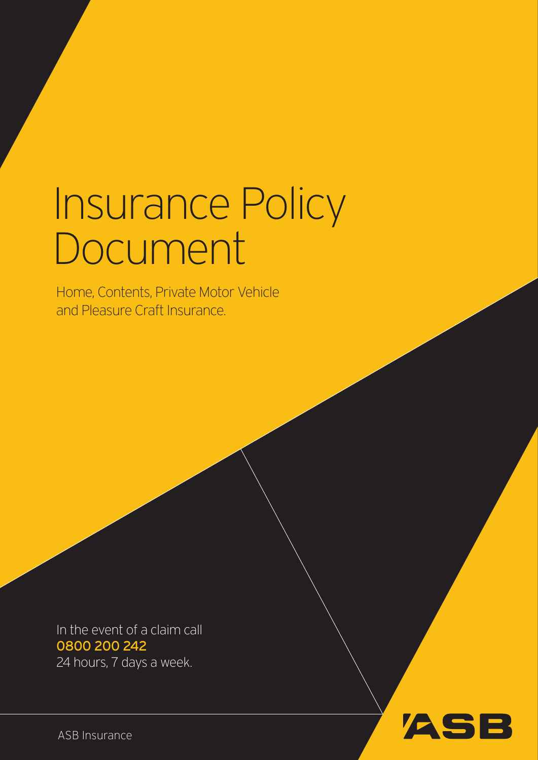# Insurance Policy Document

Home, Contents, Private Motor Vehicle and Pleasure Craft Insurance.

In the event of a claim call 0800 200 242 24 hours, 7 days a week.

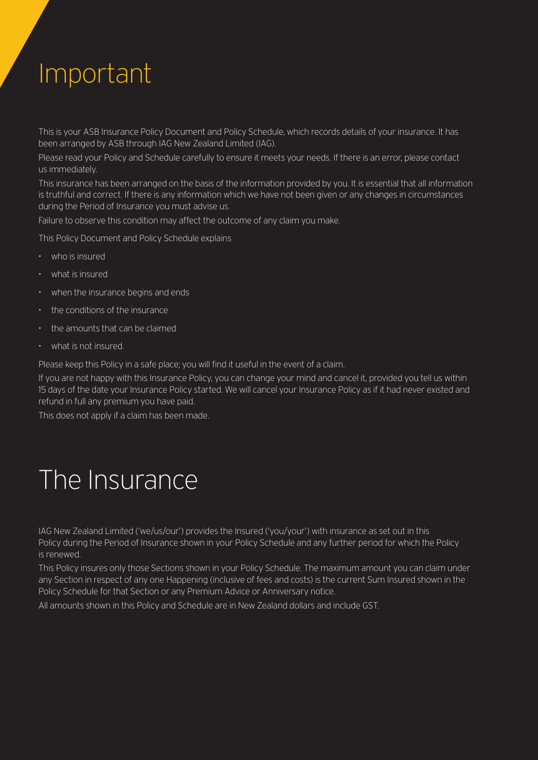### Important

This is your ASB Insurance Policy Document and Policy Schedule, which records details of your insurance. It has been arranged by ASB through IAG New Zealand Limited (IAG).

Please read your Policy and Schedule carefully to ensure it meets your needs. If there is an error, please contact us immediately.

This insurance has been arranged on the basis of the information provided by you. It is essential that all information is truthful and correct. If there is any information which we have not been given or any changes in circumstances during the Period of Insurance you must advise us.

Failure to observe this condition may affect the outcome of any claim you make.

This Policy Document and Policy Schedule explains

- $\cdot$  who is insured
- • what is insured
- $\cdot$  when the insurance begins and ends
- the conditions of the insurance
- $\cdot$  the amounts that can be claimed
- • what is not insured.

Please keep this Policy in a safe place; you will find it useful in the event of a claim.

If you are not happy with this Insurance Policy, you can change your mind and cancel it, provided you tell us within 15 days of the date your Insurance Policy started. We will cancel your Insurance Policy as if it had never existed and refund in full any premium you have paid.

This does not apply if a claim has been made.

### The Insurance

IAG New Zealand Limited ('we/us/our') provides the Insured ('you/your') with insurance as set out in this Policy during the Period of Insurance shown in your Policy Schedule and any further period for which the Policy is renewed.

This Policy insures only those Sections shown in your Policy Schedule. The maximum amount you can claim under any Section in respect of any one Happening (inclusive of fees and costs) is the current Sum Insured shown in the Policy Schedule for that Section or any Premium Advice or Anniversary notice.

All amounts shown in this Policy and Schedule are in New Zealand dollars and include GST.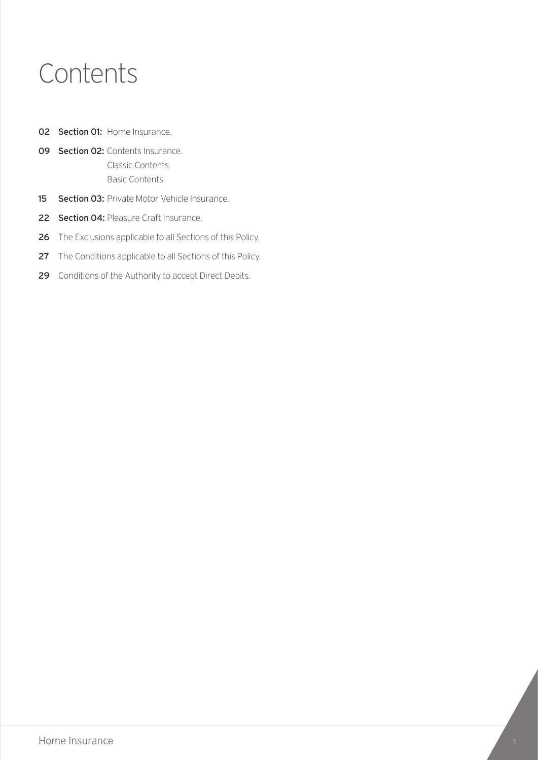### Contents

- 02 Section 01: Home Insurance.
- 09 Section 02: Contents Insurance. Classic Contents. Basic Contents.
- 15 Section 03: Private Motor Vehicle Insurance.
- 22 Section 04: Pleasure Craft Insurance.
- 26 The Exclusions applicable to all Sections of this Policy.
- 27 The Conditions applicable to all Sections of this Policy.
- 29 Conditions of the Authority to accept Direct Debits.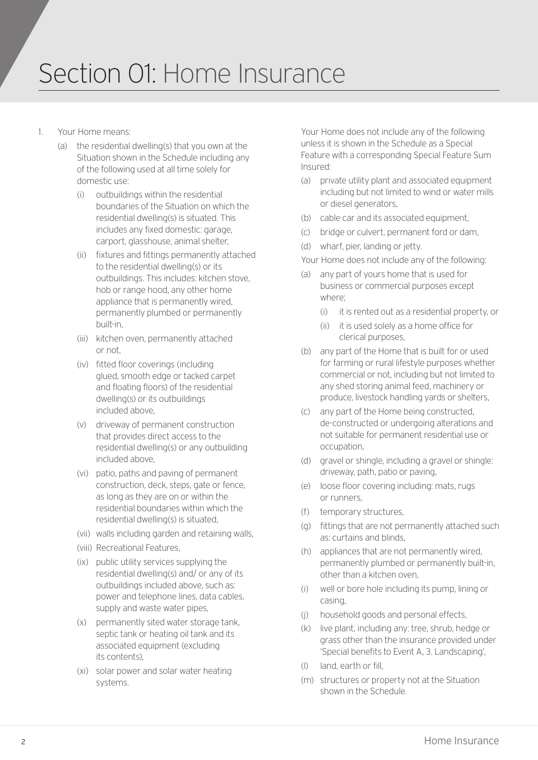### Section 01: Home Insurance

- 1. Your Home means:
	- (a) the residential dwelling(s) that you own at the Situation shown in the Schedule including any of the following used at all time solely for domestic use:
		- (i) outbuildings within the residential boundaries of the Situation on which the residential dwelling(s) is situated. This includes any fixed domestic: garage, carport, glasshouse, animal shelter,
		- (ii) fixtures and fittings permanently attached to the residential dwelling(s) or its outbuildings. This includes: kitchen stove, hob or range hood, any other home appliance that is permanently wired, permanently plumbed or permanently built-in,
		- (iii) kitchen oven, permanently attached or not,
		- (iv) fitted floor coverings (including glued, smooth edge or tacked carpet and floating floors) of the residential dwelling(s) or its outbuildings included above,
		- (v) driveway of permanent construction that provides direct access to the residential dwelling(s) or any outbuilding included above,
		- (vi) patio, paths and paving of permanent construction, deck, steps, gate or fence, as long as they are on or within the residential boundaries within which the residential dwelling(s) is situated,
		- (vii) walls including garden and retaining walls,
		- (viii) Recreational Features,
		- (ix) public utility services supplying the residential dwelling(s) and/ or any of its outbuildings included above, such as: power and telephone lines, data cables, supply and waste water pipes,
		- (x) permanently sited water storage tank, septic tank or heating oil tank and its associated equipment (excluding its contents),
		- (xi) solar power and solar water heating systems.

Your Home does not include any of the following unless it is shown in the Schedule as a Special Feature with a corresponding Special Feature Sum Insured:

- (a) private utility plant and associated equipment including but not limited to wind or water mills or diesel generators,
- (b) cable car and its associated equipment,
- (c) bridge or culvert, permanent ford or dam,
- (d) wharf, pier, landing or jetty.

Your Home does not include any of the following:

- (a) any part of yours home that is used for business or commercial purposes except where;
	- (i) it is rented out as a residential property, or
	- (ii) it is used solely as a home office for clerical purposes,
- (b) any part of the Home that is built for or used for farming or rural lifestyle purposes whether commercial or not, including but not limited to any shed storing animal feed, machinery or produce, livestock handling yards or shelters,
- (c) any part of the Home being constructed, de-constructed or undergoing alterations and not suitable for permanent residential use or occupation,
- (d) gravel or shingle, including a gravel or shingle: driveway, path, patio or paving,
- (e) loose floor covering including: mats, rugs or runners,
- (f) temporary structures,
- (g) fittings that are not permanently attached such as: curtains and blinds,
- (h) appliances that are not permanently wired, permanently plumbed or permanently built-in, other than a kitchen oven,
- (i) well or bore hole including its pump, lining or casing,
- (j) household goods and personal effects,
- (k) live plant, including any: tree, shrub, hedge or grass other than the insurance provided under 'Special benefits to Event A, 3. Landscaping',
- (l) land, earth or fill,
- (m) structures or property not at the Situation shown in the Schedule.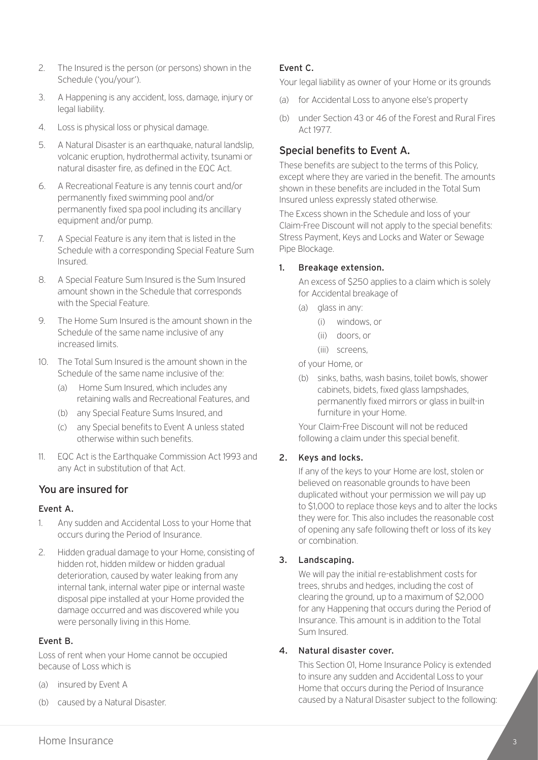- 2. The Insured is the person (or persons) shown in the Schedule ('you/your').
- 3. A Happening is any accident, loss, damage, injury or legal liability.
- 4. Loss is physical loss or physical damage.
- 5. A Natural Disaster is an earthquake, natural landslip, volcanic eruption, hydrothermal activity, tsunami or natural disaster fire, as defined in the EQC Act.
- 6. A Recreational Feature is any tennis court and/or permanently fixed swimming pool and/or permanently fixed spa pool including its ancillary equipment and/or pump.
- 7. A Special Feature is any item that is listed in the Schedule with a corresponding Special Feature Sum Insured.
- 8. A Special Feature Sum Insured is the Sum Insured amount shown in the Schedule that corresponds with the Special Feature.
- 9. The Home Sum Insured is the amount shown in the Schedule of the same name inclusive of any increased limits.
- 10. The Total Sum Insured is the amount shown in the Schedule of the same name inclusive of the:
	- (a) Home Sum Insured, which includes any retaining walls and Recreational Features, and
	- (b) any Special Feature Sums Insured, and
	- (c) any Special benefits to Event A unless stated otherwise within such benefits.
- 11. EQC Act is the Earthquake Commission Act 1993 and any Act in substitution of that Act.

#### You are insured for

#### Event A.

- 1. Any sudden and Accidental Loss to your Home that occurs during the Period of Insurance.
- 2. Hidden gradual damage to your Home, consisting of hidden rot, hidden mildew or hidden gradual deterioration, caused by water leaking from any internal tank, internal water pipe or internal waste disposal pipe installed at your Home provided the damage occurred and was discovered while you were personally living in this Home.

#### Event B.

Loss of rent when your Home cannot be occupied because of Loss which is

- (a) insured by Event A
- (b) caused by a Natural Disaster.

#### Event C.

Your legal liability as owner of your Home or its grounds

- (a) for Accidental Loss to anyone else's property
- (b) under Section 43 or 46 of the Forest and Rural Fires Act 1977.

#### Special benefits to Event A.

These benefits are subject to the terms of this Policy, except where they are varied in the benefit. The amounts shown in these benefits are included in the Total Sum Insured unless expressly stated otherwise.

The Excess shown in the Schedule and loss of your Claim-Free Discount will not apply to the special benefits: Stress Payment, Keys and Locks and Water or Sewage Pipe Blockage.

#### 1. Breakage extension.

An excess of \$250 applies to a claim which is solely for Accidental breakage of

- (a) glass in any:
	- (i) windows, or
	- (ii) doors, or
	- (iii) screens,

of your Home, or

(b) sinks, baths, wash basins, toilet bowls, shower cabinets, bidets, fixed glass lampshades, permanently fixed mirrors or glass in built-in furniture in your Home.

Your Claim-Free Discount will not be reduced following a claim under this special benefit.

#### 2. Keys and locks.

If any of the keys to your Home are lost, stolen or believed on reasonable grounds to have been duplicated without your permission we will pay up to \$1,000 to replace those keys and to alter the locks they were for. This also includes the reasonable cost of opening any safe following theft or loss of its key or combination.

#### 3. Landscaping.

We will pay the initial re-establishment costs for trees, shrubs and hedges, including the cost of clearing the ground, up to a maximum of \$2,000 for any Happening that occurs during the Period of Insurance. This amount is in addition to the Total Sum Insured.

#### 4. Natural disaster cover.

This Section 01, Home Insurance Policy is extended to insure any sudden and Accidental Loss to your Home that occurs during the Period of Insurance caused by a Natural Disaster subject to the following: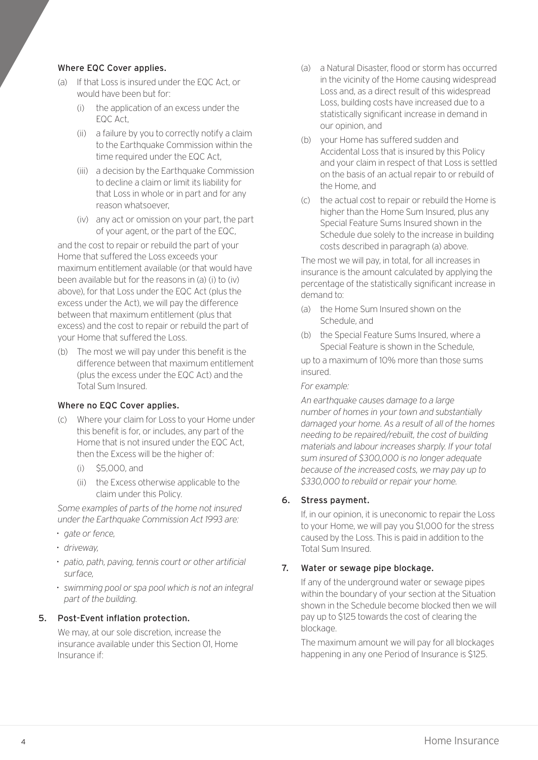#### Where EQC Cover applies.

- (a) If that Loss is insured under the EQC Act, or would have been but for:
	- (i) the application of an excess under the EQC Act,
	- (ii) a failure by you to correctly notify a claim to the Earthquake Commission within the time required under the EQC Act,
	- (iii) a decision by the Earthquake Commission to decline a claim or limit its liability for that Loss in whole or in part and for any reason whatsoever,
	- (iv) any act or omission on your part, the part of your agent, or the part of the EQC,

and the cost to repair or rebuild the part of your Home that suffered the Loss exceeds your maximum entitlement available (or that would have been available but for the reasons in (a) (i) to (iv) above), for that Loss under the EQC Act (plus the excess under the Act), we will pay the difference between that maximum entitlement (plus that excess) and the cost to repair or rebuild the part of your Home that suffered the Loss.

(b) The most we will pay under this benefit is the difference between that maximum entitlement (plus the excess under the EQC Act) and the Total Sum Insured.

#### Where no EQC Cover applies.

- (c) Where your claim for Loss to your Home under this benefit is for, or includes, any part of the Home that is not insured under the EQC Act, then the Excess will be the higher of:
	- (i) \$5,000, and
	- (ii) the Excess otherwise applicable to the claim under this Policy.

*Some examples of parts of the home not insured under the Earthquake Commission Act 1993 are:*

- *• gate or fence,*
- *• driveway,*
- *• patio, path, paving, tennis court or other artificial surface,*
- *• swimming pool or spa pool which is not an integral part of the building.*

#### 5. Post-Event inflation protection.

We may, at our sole discretion, increase the insurance available under this Section 01, Home Insurance if:

- (a) a Natural Disaster, flood or storm has occurred in the vicinity of the Home causing widespread Loss and, as a direct result of this widespread Loss, building costs have increased due to a statistically significant increase in demand in our opinion, and
- (b) your Home has suffered sudden and Accidental Loss that is insured by this Policy and your claim in respect of that Loss is settled on the basis of an actual repair to or rebuild of the Home, and
- (c) the actual cost to repair or rebuild the Home is higher than the Home Sum Insured, plus any Special Feature Sums Insured shown in the Schedule due solely to the increase in building costs described in paragraph (a) above.

The most we will pay, in total, for all increases in insurance is the amount calculated by applying the percentage of the statistically significant increase in demand to:

- (a) the Home Sum Insured shown on the Schedule, and
- (b) the Special Feature Sums Insured, where a Special Feature is shown in the Schedule,

up to a maximum of 10% more than those sums insured.

#### *For example:*

*An earthquake causes damage to a large number of homes in your town and substantially damaged your home. As a result of all of the homes needing to be repaired/rebuilt, the cost of building materials and labour increases sharply. If your total sum insured of \$300,000 is no longer adequate because of the increased costs, we may pay up to \$330,000 to rebuild or repair your home.*

#### 6. Stress payment.

If, in our opinion, it is uneconomic to repair the Loss to your Home, we will pay you \$1,000 for the stress caused by the Loss. This is paid in addition to the Total Sum Insured.

#### 7. Water or sewage pipe blockage.

If any of the underground water or sewage pipes within the boundary of your section at the Situation shown in the Schedule become blocked then we will pay up to \$125 towards the cost of clearing the blockage

The maximum amount we will pay for all blockages happening in any one Period of Insurance is \$125.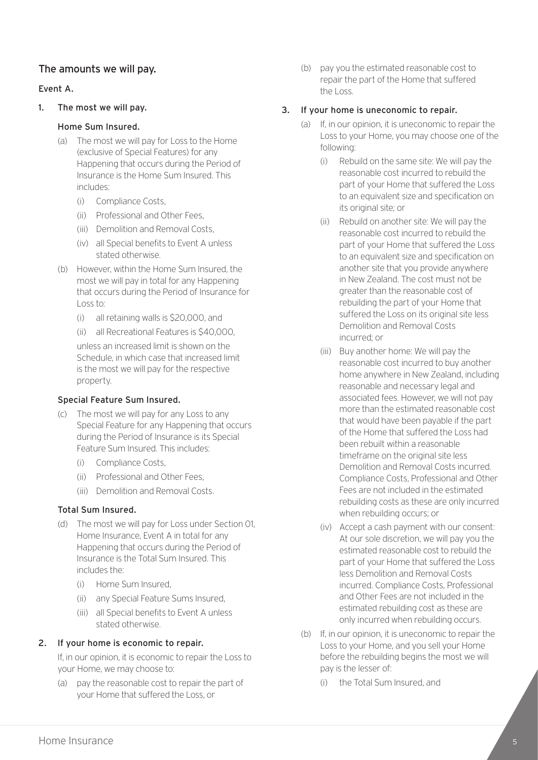#### The amounts we will pay.

#### Event A.

#### 1. The most we will pay.

#### Home Sum Insured.

- (a) The most we will pay for Loss to the Home (exclusive of Special Features) for any Happening that occurs during the Period of Insurance is the Home Sum Insured. This includes:
	- (i) Compliance Costs,
	- (ii) Professional and Other Fees,
	- (iii) Demolition and Removal Costs,
	- (iv) all Special benefits to Event A unless stated otherwise.
- (b) However, within the Home Sum Insured, the most we will pay in total for any Happening that occurs during the Period of Insurance for Loss to:
	- (i) all retaining walls is \$20,000, and
	- (ii) all Recreational Features is \$40,000,

unless an increased limit is shown on the Schedule, in which case that increased limit is the most we will pay for the respective property.

#### Special Feature Sum Insured.

- (c) The most we will pay for any Loss to any Special Feature for any Happening that occurs during the Period of Insurance is its Special Feature Sum Insured. This includes:
	- (i) Compliance Costs,
	- (ii) Professional and Other Fees,
	- (iii) Demolition and Removal Costs.

#### Total Sum Insured.

- (d) The most we will pay for Loss under Section 01, Home Insurance, Event A in total for any Happening that occurs during the Period of Insurance is the Total Sum Insured. This includes the:
	- (i) Home Sum Insured,
	- (ii) any Special Feature Sums Insured,
	- (iii) all Special benefits to Event A unless stated otherwise.

#### 2. If your home is economic to repair.

If, in our opinion, it is economic to repair the Loss to your Home, we may choose to:

(a) pay the reasonable cost to repair the part of your Home that suffered the Loss, or

(b) pay you the estimated reasonable cost to repair the part of the Home that suffered the Loss.

#### 3. If your home is uneconomic to repair.

- (a) If, in our opinion, it is uneconomic to repair the Loss to your Home, you may choose one of the following:
	- (i) Rebuild on the same site: We will pay the reasonable cost incurred to rebuild the part of your Home that suffered the Loss to an equivalent size and specification on its original site; or
	- (ii) Rebuild on another site: We will pay the reasonable cost incurred to rebuild the part of your Home that suffered the Loss to an equivalent size and specification on another site that you provide anywhere in New Zealand. The cost must not be greater than the reasonable cost of rebuilding the part of your Home that suffered the Loss on its original site less Demolition and Removal Costs incurred; or
	- (iii) Buy another home: We will pay the reasonable cost incurred to buy another home anywhere in New Zealand, including reasonable and necessary legal and associated fees. However, we will not pay more than the estimated reasonable cost that would have been payable if the part of the Home that suffered the Loss had been rebuilt within a reasonable timeframe on the original site less Demolition and Removal Costs incurred. Compliance Costs, Professional and Other Fees are not included in the estimated rebuilding costs as these are only incurred when rebuilding occurs; or
	- (iv) Accept a cash payment with our consent: At our sole discretion, we will pay you the estimated reasonable cost to rebuild the part of your Home that suffered the Loss less Demolition and Removal Costs incurred. Compliance Costs, Professional and Other Fees are not included in the estimated rebuilding cost as these are only incurred when rebuilding occurs.
- (b) If, in our opinion, it is uneconomic to repair the Loss to your Home, and you sell your Home before the rebuilding begins the most we will pay is the lesser of:
	- (i) the Total Sum Insured, and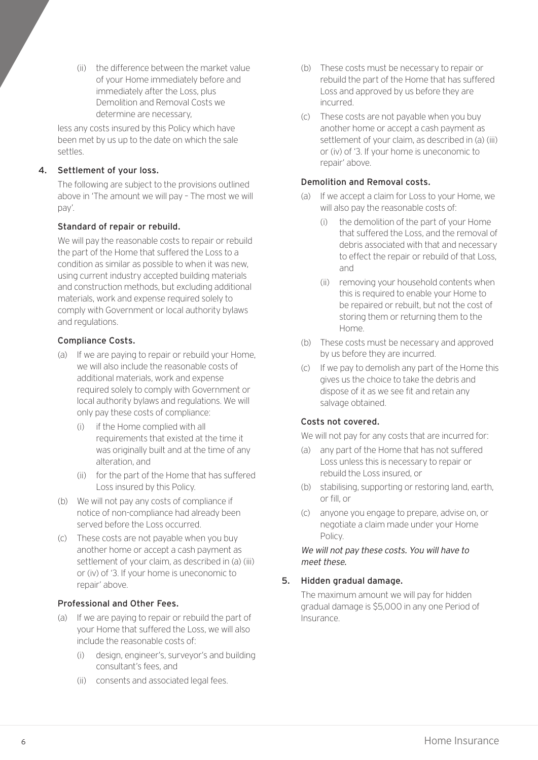(ii) the difference between the market value of your Home immediately before and immediately after the Loss, plus Demolition and Removal Costs we determine are necessary,

less any costs insured by this Policy which have been met by us up to the date on which the sale settles.

#### 4. Settlement of your loss.

The following are subject to the provisions outlined above in 'The amount we will pay – The most we will pay'.

#### Standard of repair or rebuild.

We will pay the reasonable costs to repair or rebuild the part of the Home that suffered the Loss to a condition as similar as possible to when it was new, using current industry accepted building materials and construction methods, but excluding additional materials, work and expense required solely to comply with Government or local authority bylaws and regulations.

#### Compliance Costs.

- (a) If we are paying to repair or rebuild your Home, we will also include the reasonable costs of additional materials, work and expense required solely to comply with Government or local authority bylaws and regulations. We will only pay these costs of compliance:
	- (i) if the Home complied with all requirements that existed at the time it was originally built and at the time of any alteration, and
	- (ii) for the part of the Home that has suffered Loss insured by this Policy.
- (b) We will not pay any costs of compliance if notice of non-compliance had already been served before the Loss occurred.
- (c) These costs are not payable when you buy another home or accept a cash payment as settlement of your claim, as described in (a) (iii) or (iv) of '3. If your home is uneconomic to repair' above.

#### Professional and Other Fees.

- (a) If we are paying to repair or rebuild the part of your Home that suffered the Loss, we will also include the reasonable costs of:
	- (i) design, engineer's, surveyor's and building consultant's fees, and
	- (ii) consents and associated legal fees.
- (b) These costs must be necessary to repair or rebuild the part of the Home that has suffered Loss and approved by us before they are incurred.
- (c) These costs are not payable when you buy another home or accept a cash payment as settlement of your claim, as described in (a) (iii) or (iv) of '3. If your home is uneconomic to repair' above.

#### Demolition and Removal costs.

- (a) If we accept a claim for Loss to your Home, we will also pay the reasonable costs of:
	- (i) the demolition of the part of your Home that suffered the Loss, and the removal of debris associated with that and necessary to effect the repair or rebuild of that Loss, and
	- (ii) removing your household contents when this is required to enable your Home to be repaired or rebuilt, but not the cost of storing them or returning them to the Home.
- (b) These costs must be necessary and approved by us before they are incurred.
- (c) If we pay to demolish any part of the Home this gives us the choice to take the debris and dispose of it as we see fit and retain any salvage obtained.

#### Costs not covered.

We will not pay for any costs that are incurred for:

- (a) any part of the Home that has not suffered Loss unless this is necessary to repair or rebuild the Loss insured, or
- (b) stabilising, supporting or restoring land, earth, or fill, or
- (c) anyone you engage to prepare, advise on, or negotiate a claim made under your Home Policy.

#### We will not pay these costs. You will have to meet these.

#### 5. Hidden gradual damage.

The maximum amount we will pay for hidden gradual damage is \$5,000 in any one Period of Insurance.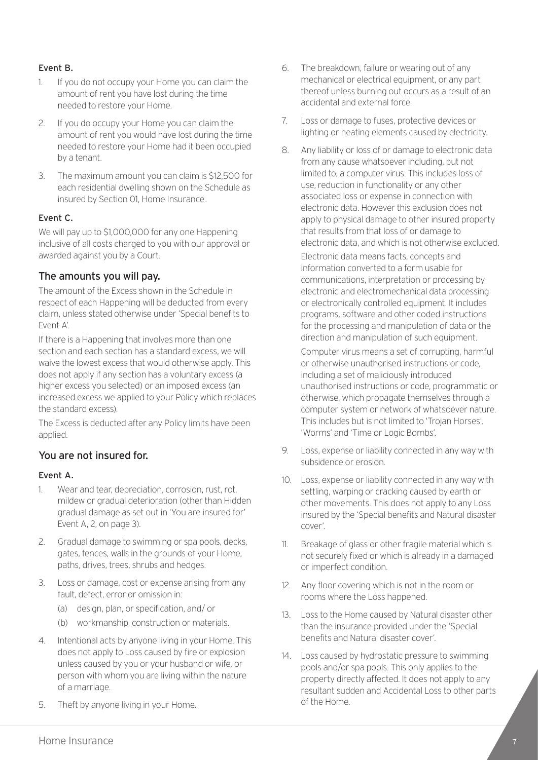#### Event B.

- 1. If you do not occupy your Home you can claim the amount of rent you have lost during the time needed to restore your Home.
- 2. If you do occupy your Home you can claim the amount of rent you would have lost during the time needed to restore your Home had it been occupied by a tenant.
- 3. The maximum amount you can claim is \$12,500 for each residential dwelling shown on the Schedule as insured by Section 01, Home Insurance.

#### Event C.

We will pay up to \$1,000,000 for any one Happening inclusive of all costs charged to you with our approval or awarded against you by a Court.

#### The amounts you will pay.

The amount of the Excess shown in the Schedule in respect of each Happening will be deducted from every claim, unless stated otherwise under 'Special benefits to Event A'.

If there is a Happening that involves more than one section and each section has a standard excess, we will waive the lowest excess that would otherwise apply. This does not apply if any section has a voluntary excess (a higher excess you selected) or an imposed excess (an increased excess we applied to your Policy which replaces the standard excess).

The Excess is deducted after any Policy limits have been applied.

#### You are not insured for.

#### Event A.

- 1. Wear and tear, depreciation, corrosion, rust, rot, mildew or gradual deterioration (other than Hidden gradual damage as set out in 'You are insured for' Event A, 2, on page 3).
- 2. Gradual damage to swimming or spa pools, decks, gates, fences, walls in the grounds of your Home, paths, drives, trees, shrubs and hedges.
- 3. Loss or damage, cost or expense arising from any fault, defect, error or omission in:
	- (a) design, plan, or specification, and/ or
	- (b) workmanship, construction or materials.
- 4. Intentional acts by anyone living in your Home. This does not apply to Loss caused by fire or explosion unless caused by you or your husband or wife, or person with whom you are living within the nature of a marriage.
- 5. Theft by anyone living in your Home.
- 6. The breakdown, failure or wearing out of any mechanical or electrical equipment, or any part thereof unless burning out occurs as a result of an accidental and external force.
- 7. Loss or damage to fuses, protective devices or lighting or heating elements caused by electricity.
- 8. Any liability or loss of or damage to electronic data from any cause whatsoever including, but not limited to, a computer virus. This includes loss of use, reduction in functionality or any other associated loss or expense in connection with electronic data. However this exclusion does not apply to physical damage to other insured property that results from that loss of or damage to electronic data, and which is not otherwise excluded.

Electronic data means facts, concepts and information converted to a form usable for communications, interpretation or processing by electronic and electromechanical data processing or electronically controlled equipment. It includes programs, software and other coded instructions for the processing and manipulation of data or the direction and manipulation of such equipment. Computer virus means a set of corrupting, harmful or otherwise unauthorised instructions or code, including a set of maliciously introduced unauthorised instructions or code, programmatic or otherwise, which propagate themselves through a computer system or network of whatsoever nature. This includes but is not limited to 'Trojan Horses', 'Worms' and 'Time or Logic Bombs'.

- 9. Loss, expense or liability connected in any way with subsidence or erosion.
- 10. Loss, expense or liability connected in any way with settling, warping or cracking caused by earth or other movements. This does not apply to any Loss insured by the 'Special benefits and Natural disaster cover'.
- 11. Breakage of glass or other fragile material which is not securely fixed or which is already in a damaged or imperfect condition.
- 12. Any floor covering which is not in the room or rooms where the Loss happened.
- 13. Loss to the Home caused by Natural disaster other than the insurance provided under the 'Special benefits and Natural disaster cover'.
- 14. Loss caused by hydrostatic pressure to swimming pools and/or spa pools. This only applies to the property directly affected. It does not apply to any resultant sudden and Accidental Loss to other parts of the Home.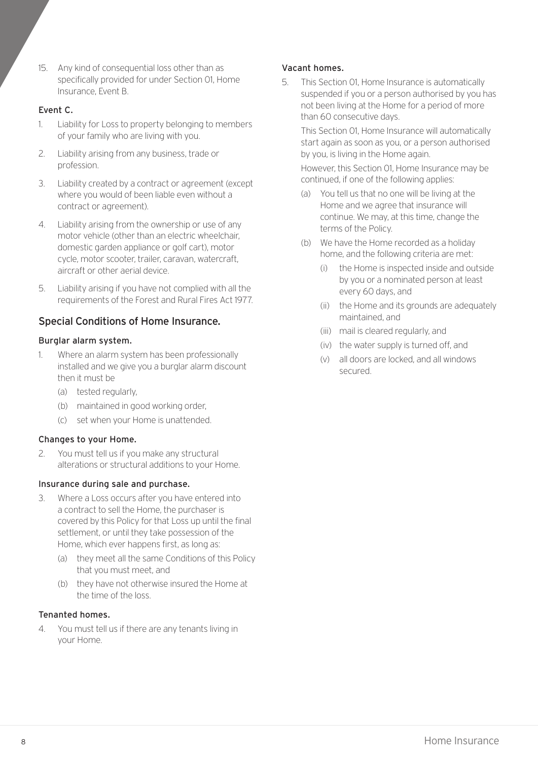15. Any kind of consequential loss other than as specifically provided for under Section 01, Home Insurance, Event B.

#### Event C.

- 1. Liability for Loss to property belonging to members of your family who are living with you.
- 2. Liability arising from any business, trade or profession.
- 3. Liability created by a contract or agreement (except where you would of been liable even without a contract or agreement).
- 4. Liability arising from the ownership or use of any motor vehicle (other than an electric wheelchair, domestic garden appliance or golf cart), motor cycle, motor scooter, trailer, caravan, watercraft, aircraft or other aerial device.
- 5. Liability arising if you have not complied with all the requirements of the Forest and Rural Fires Act 1977.

#### Special Conditions of Home Insurance.

#### Burglar alarm system.

- 1. Where an alarm system has been professionally installed and we give you a burglar alarm discount then it must be
	- (a) tested regularly,
	- (b) maintained in good working order,
	- (c) set when your Home is unattended.

#### Changes to your Home.

2. You must tell us if you make any structural alterations or structural additions to your Home.

#### Insurance during sale and purchase.

- 3. Where a Loss occurs after you have entered into a contract to sell the Home, the purchaser is covered by this Policy for that Loss up until the final settlement, or until they take possession of the Home, which ever happens first, as long as:
	- (a) they meet all the same Conditions of this Policy that you must meet, and
	- (b) they have not otherwise insured the Home at the time of the loss.

#### Tenanted homes.

4. You must tell us if there are any tenants living in your Home.

#### Vacant homes.

5. This Section 01, Home Insurance is automatically suspended if you or a person authorised by you has not been living at the Home for a period of more than 60 consecutive days.

This Section 01, Home Insurance will automatically start again as soon as you, or a person authorised by you, is living in the Home again.

However, this Section 01, Home Insurance may be continued, if one of the following applies:

- (a) You tell us that no one will be living at the Home and we agree that insurance will continue. We may, at this time, change the terms of the Policy.
- (b) We have the Home recorded as a holiday home, and the following criteria are met:
	- (i) the Home is inspected inside and outside by you or a nominated person at least every 60 days, and
	- (ii) the Home and its grounds are adequately maintained, and
	- (iii) mail is cleared regularly, and
	- (iv) the water supply is turned off, and
	- (v) all doors are locked, and all windows secured.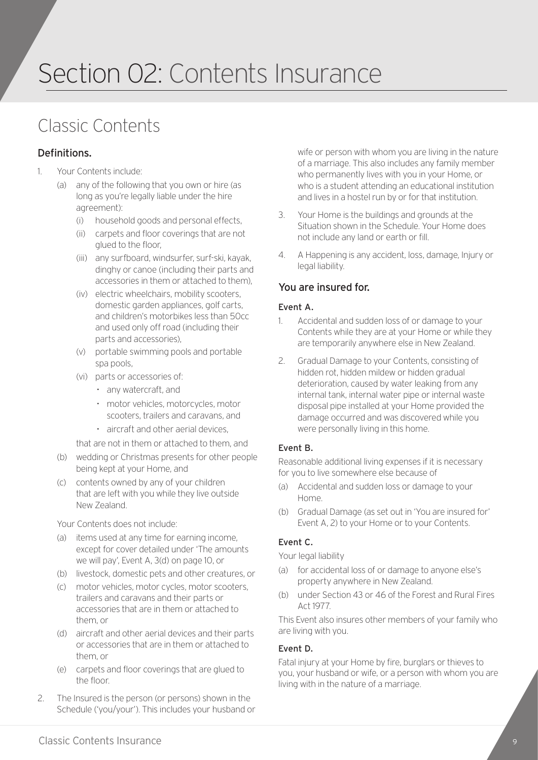### Section 02: Contents Insurance

### Classic Contents

#### Definitions.

- 1. Your Contents include:
	- (a) any of the following that you own or hire (as long as you're legally liable under the hire agreement):
		- (i) household goods and personal effects,
		- (ii) carpets and floor coverings that are not glued to the floor,
		- (iii) any surfboard, windsurfer, surf-ski, kayak, dinghy or canoe (including their parts and accessories in them or attached to them),
		- (iv) electric wheelchairs, mobility scooters, domestic garden appliances, golf carts, and children's motorbikes less than 50cc and used only off road (including their parts and accessories),
		- (v) portable swimming pools and portable spa pools,
		- (vi) parts or accessories of:
			- *•* any watercraft, and
			- *•* motor vehicles, motorcycles, motor scooters, trailers and caravans, and
			- *•* aircraft and other aerial devices,
		- that are not in them or attached to them, and
	- (b) wedding or Christmas presents for other people being kept at your Home, and
	- (c) contents owned by any of your children that are left with you while they live outside New Zealand.

Your Contents does not include:

- (a) items used at any time for earning income, except for cover detailed under 'The amounts we will pay', Event A, 3(d) on page 10, or
- (b) livestock, domestic pets and other creatures, or
- (c) motor vehicles, motor cycles, motor scooters, trailers and caravans and their parts or accessories that are in them or attached to them, or
- (d) aircraft and other aerial devices and their parts or accessories that are in them or attached to them, or
- (e) carpets and floor coverings that are glued to the floor.
- 2. The Insured is the person (or persons) shown in the Schedule ('you/your'). This includes your husband or

wife or person with whom you are living in the nature of a marriage. This also includes any family member who permanently lives with you in your Home, or who is a student attending an educational institution and lives in a hostel run by or for that institution.

- 3. Your Home is the buildings and grounds at the Situation shown in the Schedule. Your Home does not include any land or earth or fill.
- 4. A Happening is any accident, loss, damage, Injury or legal liability.

#### You are insured for.

#### Event A.

- 1. Accidental and sudden loss of or damage to your Contents while they are at your Home or while they are temporarily anywhere else in New Zealand.
- 2. Gradual Damage to your Contents, consisting of hidden rot, hidden mildew or hidden gradual deterioration, caused by water leaking from any internal tank, internal water pipe or internal waste disposal pipe installed at your Home provided the damage occurred and was discovered while you were personally living in this home.

#### Event B.

Reasonable additional living expenses if it is necessary for you to live somewhere else because of

- (a) Accidental and sudden loss or damage to your Home.
- (b) Gradual Damage (as set out in 'You are insured for' Event A, 2) to your Home or to your Contents.

#### Event C.

Your legal liability

- (a) for accidental loss of or damage to anyone else's property anywhere in New Zealand.
- (b) under Section 43 or 46 of the Forest and Rural Fires Act 1977.

This Event also insures other members of your family who are living with you.

#### Event D.

Fatal injury at your Home by fire, burglars or thieves to you, your husband or wife, or a person with whom you are living with in the nature of a marriage.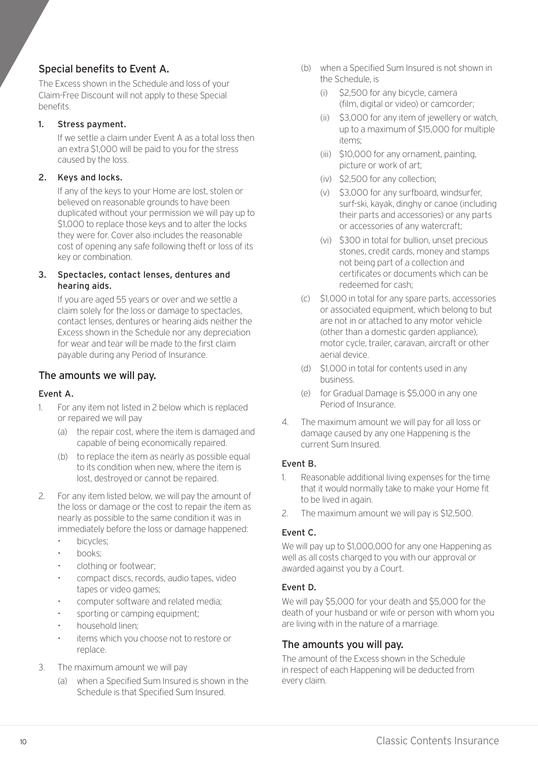#### Special benefits to Event A.

The Excess shown in the Schedule and loss of your Claim-Free Discount will not apply to these Special benefits.

#### 1. Stress payment.

If we settle a claim under Event A as a total loss then an extra \$1,000 will be paid to you for the stress caused by the loss.

#### 2. Keys and locks.

If any of the keys to your Home are lost, stolen or believed on reasonable grounds to have been duplicated without your permission we will pay up to \$1,000 to replace those keys and to alter the locks they were for. Cover also includes the reasonable cost of opening any safe following theft or loss of its key or combination.

#### 3. Spectacles, contact lenses, dentures and hearing aids.

If you are aged 55 years or over and we settle a claim solely for the loss or damage to spectacles, contact lenses, dentures or hearing aids neither the Excess shown in the Schedule nor any depreciation for wear and tear will be made to the first claim payable during any Period of Insurance.

#### The amounts we will pay.

#### Event A.

- 1. For any item not listed in 2 below which is replaced or repaired we will pay
	- (a) the repair cost, where the item is damaged and capable of being economically repaired.
	- (b) to replace the item as nearly as possible equal to its condition when new, where the item is lost, destroyed or cannot be repaired.
- 2. For any item listed below, we will pay the amount of the loss or damage or the cost to repair the item as nearly as possible to the same condition it was in immediately before the loss or damage happened:
	- *•* bicycles;
	- *•* books;
	- *•* clothing or footwear;
	- *•* compact discs, records, audio tapes, video tapes or video games;
	- *•* computer software and related media;
	- *•* sporting or camping equipment;
	- *•* household linen;
	- *•* items which you choose not to restore or replace.
- 3. The maximum amount we will pay
	- (a) when a Specified Sum Insured is shown in the Schedule is that Specified Sum Insured.
- (b) when a Specified Sum Insured is not shown in the Schedule, is
	- (i) \$2,500 for any bicycle, camera (film, digital or video) or camcorder;
	- (ii) \$3,000 for any item of jewellery or watch, up to a maximum of \$15,000 for multiple items;
	- (iii) \$10,000 for any ornament, painting, picture or work of art;
	- (iv) \$2,500 for any collection;
	- (v) \$3,000 for any surfboard, windsurfer, surf-ski, kayak, dinghy or canoe (including their parts and accessories) or any parts or accessories of any watercraft;
	- (vi) \$300 in total for bullion, unset precious stones, credit cards, money and stamps not being part of a collection and certificates or documents which can be redeemed for cash;
- (c) \$1,000 in total for any spare parts, accessories or associated equipment, which belong to but are not in or attached to any motor vehicle (other than a domestic garden appliance), motor cycle, trailer, caravan, aircraft or other aerial device.
- (d) \$1,000 in total for contents used in any business.
- (e) for Gradual Damage is \$5,000 in any one Period of Insurance.
- 4. The maximum amount we will pay for all loss or damage caused by any one Happening is the current Sum Insured.

#### Event B.

- 1. Reasonable additional living expenses for the time that it would normally take to make your Home fit to be lived in again.
- 2. The maximum amount we will pay is \$12,500.

#### Event C.

We will pay up to \$1,000,000 for any one Happening as well as all costs charged to you with our approval or awarded against you by a Court.

#### Event D.

We will pay \$5,000 for your death and \$5,000 for the death of your husband or wife or person with whom you are living with in the nature of a marriage.

#### The amounts you will pay.

The amount of the Excess shown in the Schedule in respect of each Happening will be deducted from every claim.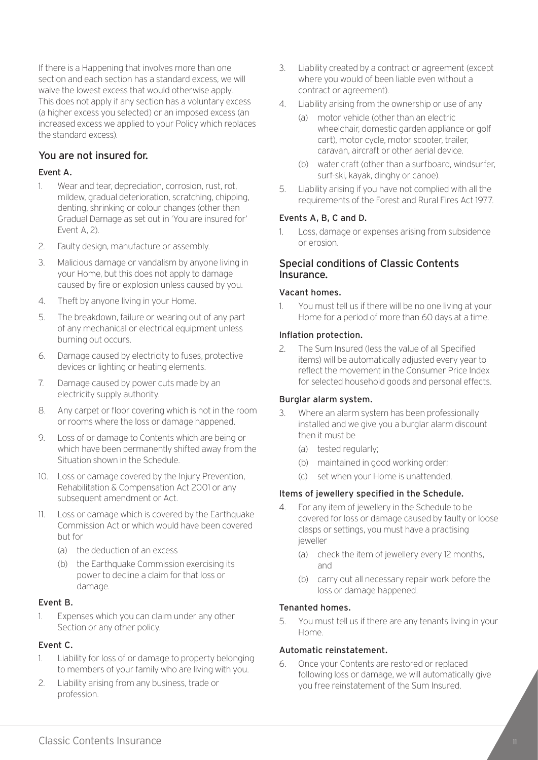If there is a Happening that involves more than one section and each section has a standard excess, we will waive the lowest excess that would otherwise apply. This does not apply if any section has a voluntary excess (a higher excess you selected) or an imposed excess (an increased excess we applied to your Policy which replaces the standard excess).

#### You are not insured for.

#### Event A.

- 1. Wear and tear, depreciation, corrosion, rust, rot, mildew, gradual deterioration, scratching, chipping, denting, shrinking or colour changes (other than Gradual Damage as set out in 'You are insured for' Event A, 2).
- 2. Faulty design, manufacture or assembly.
- 3. Malicious damage or vandalism by anyone living in your Home, but this does not apply to damage caused by fire or explosion unless caused by you.
- 4. Theft by anyone living in your Home.
- 5. The breakdown, failure or wearing out of any part of any mechanical or electrical equipment unless burning out occurs.
- 6. Damage caused by electricity to fuses, protective devices or lighting or heating elements.
- 7. Damage caused by power cuts made by an electricity supply authority.
- 8. Any carpet or floor covering which is not in the room or rooms where the loss or damage happened.
- 9. Loss of or damage to Contents which are being or which have been permanently shifted away from the Situation shown in the Schedule.
- 10. Loss or damage covered by the Injury Prevention, Rehabilitation & Compensation Act 2001 or any subsequent amendment or Act.
- 11. Loss or damage which is covered by the Earthquake Commission Act or which would have been covered but for
	- (a) the deduction of an excess
	- (b) the Earthquake Commission exercising its power to decline a claim for that loss or damage.

#### Event B.

1. Expenses which you can claim under any other Section or any other policy.

#### Event C.

- 1. Liability for loss of or damage to property belonging to members of your family who are living with you.
- 2. Liability arising from any business, trade or profession.
- 3. Liability created by a contract or agreement (except where you would of been liable even without a contract or agreement).
- 4. Liability arising from the ownership or use of any
	- (a) motor vehicle (other than an electric wheelchair, domestic garden appliance or golf cart), motor cycle, motor scooter, trailer, caravan, aircraft or other aerial device.
	- (b) water craft (other than a surfboard, windsurfer, surf-ski, kayak, dinghy or canoe).
- 5. Liability arising if you have not complied with all the requirements of the Forest and Rural Fires Act 1977.

#### Events A, B, C and D.

1. Loss, damage or expenses arising from subsidence or erosion.

#### Special conditions of Classic Contents Insurance.

#### Vacant homes.

1. You must tell us if there will be no one living at your Home for a period of more than 60 days at a time.

#### Inflation protection.

2. The Sum Insured (less the value of all Specified items) will be automatically adjusted every year to reflect the movement in the Consumer Price Index for selected household goods and personal effects.

#### Burglar alarm system.

- 3. Where an alarm system has been professionally installed and we give you a burglar alarm discount then it must be
	- (a) tested regularly;
	- (b) maintained in good working order;
	- (c) set when your Home is unattended.

#### Items of jewellery specified in the Schedule.

- 4. For any item of jewellery in the Schedule to be covered for loss or damage caused by faulty or loose clasps or settings, you must have a practising jeweller
	- (a) check the item of jewellery every 12 months, and
	- (b) carry out all necessary repair work before the loss or damage happened.

#### Tenanted homes.

5. You must tell us if there are any tenants living in your Home.

#### Automatic reinstatement.

6. Once your Contents are restored or replaced following loss or damage, we will automatically give you free reinstatement of the Sum Insured.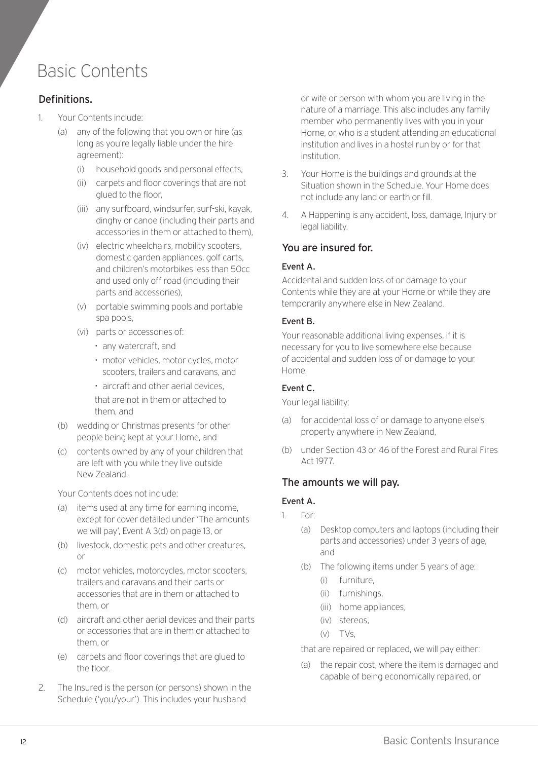### Basic Contents

#### Definitions.

- 1. Your Contents include:
	- (a) any of the following that you own or hire (as long as you're legally liable under the hire agreement):
		- (i) household goods and personal effects,
		- (ii) carpets and floor coverings that are not glued to the floor,
		- (iii) any surfboard, windsurfer, surf-ski, kayak, dinghy or canoe (including their parts and accessories in them or attached to them),
		- (iv) electric wheelchairs, mobility scooters, domestic garden appliances, golf carts, and children's motorbikes less than 50cc and used only off road (including their parts and accessories),
		- (v) portable swimming pools and portable spa pools,
		- (vi) parts or accessories of:
			- *•* any watercraft, and
			- *•* motor vehicles, motor cycles, motor scooters, trailers and caravans, and
			- *•* aircraft and other aerial devices,

that are not in them or attached to them, and

- (b) wedding or Christmas presents for other people being kept at your Home, and
- (c) contents owned by any of your children that are left with you while they live outside New Zealand.

Your Contents does not include:

- (a) items used at any time for earning income, except for cover detailed under 'The amounts we will pay', Event A 3(d) on page 13, or
- (b) livestock, domestic pets and other creatures, or
- (c) motor vehicles, motorcycles, motor scooters, trailers and caravans and their parts or accessories that are in them or attached to them, or
- (d) aircraft and other aerial devices and their parts or accessories that are in them or attached to them, or
- (e) carpets and floor coverings that are glued to the floor.
- 2. The Insured is the person (or persons) shown in the Schedule ('you/your'). This includes your husband

or wife or person with whom you are living in the nature of a marriage. This also includes any family member who permanently lives with you in your Home, or who is a student attending an educational institution and lives in a hostel run by or for that institution.

- 3. Your Home is the buildings and grounds at the Situation shown in the Schedule. Your Home does not include any land or earth or fill.
- 4. A Happening is any accident, loss, damage, Injury or legal liability.

#### You are insured for.

#### Event A.

Accidental and sudden loss of or damage to your Contents while they are at your Home or while they are temporarily anywhere else in New Zealand.

#### Event B.

Your reasonable additional living expenses, if it is necessary for you to live somewhere else because of accidental and sudden loss of or damage to your Home.

#### Event C.

Your legal liability:

- (a) for accidental loss of or damage to anyone else's property anywhere in New Zealand,
- (b) under Section 43 or 46 of the Forest and Rural Fires Act 1977.

#### The amounts we will pay.

#### Event A.

- 1. For:
	- (a) Desktop computers and laptops (including their parts and accessories) under 3 years of age, and
	- (b) The following items under 5 years of age:
		- (i) furniture,
		- (ii) furnishings,
		- (iii) home appliances,
		- (iv) stereos,
		- (v) TVs,

that are repaired or replaced, we will pay either:

(a) the repair cost, where the item is damaged and capable of being economically repaired, or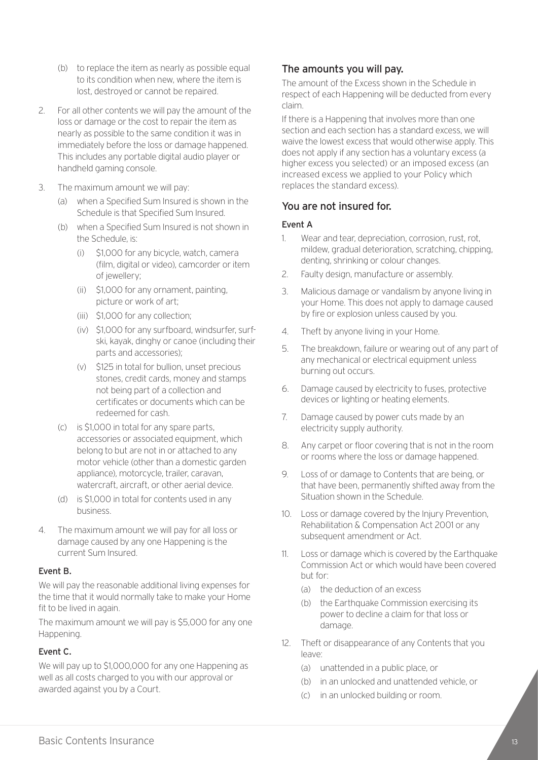- (b) to replace the item as nearly as possible equal to its condition when new, where the item is lost, destroyed or cannot be repaired.
- 2. For all other contents we will pay the amount of the loss or damage or the cost to repair the item as nearly as possible to the same condition it was in immediately before the loss or damage happened. This includes any portable digital audio player or handheld gaming console.
- 3. The maximum amount we will pay:
	- (a) when a Specified Sum Insured is shown in the Schedule is that Specified Sum Insured.
	- (b) when a Specified Sum Insured is not shown in the Schedule, is:
		- (i) \$1,000 for any bicycle, watch, camera (film, digital or video), camcorder or item of jewellery;
		- (ii) \$1,000 for any ornament, painting, picture or work of art;
		- (iii) \$1,000 for any collection;
		- (iv) \$1,000 for any surfboard, windsurfer, surfski, kayak, dinghy or canoe (including their parts and accessories);
		- (v) \$125 in total for bullion, unset precious stones, credit cards, money and stamps not being part of a collection and certificates or documents which can be redeemed for cash.
	- (c) is \$1,000 in total for any spare parts, accessories or associated equipment, which belong to but are not in or attached to any motor vehicle (other than a domestic garden appliance), motorcycle, trailer, caravan, watercraft, aircraft, or other aerial device.
	- (d) is \$1,000 in total for contents used in any business.
- 4. The maximum amount we will pay for all loss or damage caused by any one Happening is the current Sum Insured.

#### Event B.

We will pay the reasonable additional living expenses for the time that it would normally take to make your Home fit to be lived in again.

The maximum amount we will pay is \$5,000 for any one Happening.

#### Event C.

We will pay up to \$1,000,000 for any one Happening as well as all costs charged to you with our approval or awarded against you by a Court.

#### The amounts you will pay.

The amount of the Excess shown in the Schedule in respect of each Happening will be deducted from every claim.

If there is a Happening that involves more than one section and each section has a standard excess, we will waive the lowest excess that would otherwise apply. This does not apply if any section has a voluntary excess (a higher excess you selected) or an imposed excess (an increased excess we applied to your Policy which replaces the standard excess).

#### You are not insured for.

#### Event A

- 1. Wear and tear, depreciation, corrosion, rust, rot, mildew, gradual deterioration, scratching, chipping, denting, shrinking or colour changes.
- 2. Faulty design, manufacture or assembly.
- 3. Malicious damage or vandalism by anyone living in your Home. This does not apply to damage caused by fire or explosion unless caused by you.
- 4. Theft by anyone living in your Home.
- 5. The breakdown, failure or wearing out of any part of any mechanical or electrical equipment unless burning out occurs.
- 6. Damage caused by electricity to fuses, protective devices or lighting or heating elements.
- 7. Damage caused by power cuts made by an electricity supply authority.
- 8. Any carpet or floor covering that is not in the room or rooms where the loss or damage happened.
- 9. Loss of or damage to Contents that are being, or that have been, permanently shifted away from the Situation shown in the Schedule.
- 10. Loss or damage covered by the Injury Prevention, Rehabilitation & Compensation Act 2001 or any subsequent amendment or Act.
- 11. Loss or damage which is covered by the Earthquake Commission Act or which would have been covered but for:
	- (a) the deduction of an excess
	- (b) the Earthquake Commission exercising its power to decline a claim for that loss or damage.
- 12. Theft or disappearance of any Contents that you leave:
	- (a) unattended in a public place, or
	- (b) in an unlocked and unattended vehicle, or
	- (c) in an unlocked building or room.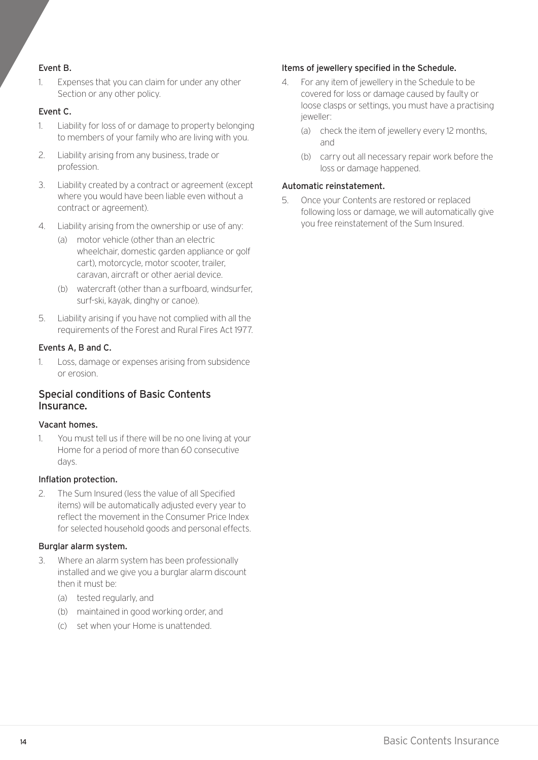#### Event B.

1. Expenses that you can claim for under any other Section or any other policy.

#### Event C.

- 1. Liability for loss of or damage to property belonging to members of your family who are living with you.
- 2. Liability arising from any business, trade or profession.
- 3. Liability created by a contract or agreement (except where you would have been liable even without a contract or agreement).
- 4. Liability arising from the ownership or use of any:
	- (a) motor vehicle (other than an electric wheelchair, domestic garden appliance or golf cart), motorcycle, motor scooter, trailer, caravan, aircraft or other aerial device.
	- (b) watercraft (other than a surfboard, windsurfer, surf-ski, kayak, dinghy or canoe).
- 5. Liability arising if you have not complied with all the requirements of the Forest and Rural Fires Act 1977.

#### Events A, B and C.

1. Loss, damage or expenses arising from subsidence or erosion.

#### Special conditions of Basic Contents Insurance.

#### Vacant homes.

1. You must tell us if there will be no one living at your Home for a period of more than 60 consecutive days.

#### Inflation protection.

2. The Sum Insured (less the value of all Specified items) will be automatically adjusted every year to reflect the movement in the Consumer Price Index for selected household goods and personal effects.

#### Burglar alarm system.

- 3. Where an alarm system has been professionally installed and we give you a burglar alarm discount then it must be:
	- (a) tested regularly, and
	- (b) maintained in good working order, and
	- (c) set when your Home is unattended.

#### Items of jewellery specified in the Schedule.

- 4. For any item of jewellery in the Schedule to be covered for loss or damage caused by faulty or loose clasps or settings, you must have a practising jeweller:
	- (a) check the item of jewellery every 12 months, and
	- (b) carry out all necessary repair work before the loss or damage happened.

#### Automatic reinstatement.

5. Once your Contents are restored or replaced following loss or damage, we will automatically give you free reinstatement of the Sum Insured.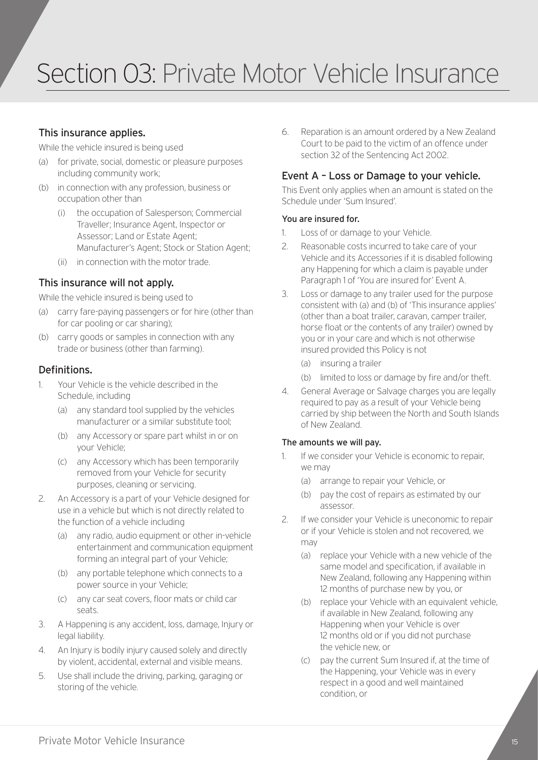### Section 03: Private Motor Vehicle Insurance

#### This insurance applies.

While the vehicle insured is being used

- (a) for private, social, domestic or pleasure purposes including community work;
- (b) in connection with any profession, business or occupation other than
	- (i) the occupation of Salesperson; Commercial Traveller; Insurance Agent, Inspector or Assessor; Land or Estate Agent; Manufacturer's Agent; Stock or Station Agent;
	- (ii) in connection with the motor trade.

#### This insurance will not apply.

While the vehicle insured is being used to

- (a) carry fare-paying passengers or for hire (other than for car pooling or car sharing);
- (b) carry goods or samples in connection with any trade or business (other than farming).

#### Definitions.

- 1. Your Vehicle is the vehicle described in the Schedule, including
	- (a) any standard tool supplied by the vehicles manufacturer or a similar substitute tool;
	- (b) any Accessory or spare part whilst in or on your Vehicle;
	- (c) any Accessory which has been temporarily removed from your Vehicle for security purposes, cleaning or servicing.
- 2. An Accessory is a part of your Vehicle designed for use in a vehicle but which is not directly related to the function of a vehicle including
	- (a) any radio, audio equipment or other in-vehicle entertainment and communication equipment forming an integral part of your Vehicle;
	- (b) any portable telephone which connects to a power source in your Vehicle;
	- (c) any car seat covers, floor mats or child car seats.
- 3. A Happening is any accident, loss, damage, Injury or legal liability.
- 4. An Injury is bodily injury caused solely and directly by violent, accidental, external and visible means.
- 5. Use shall include the driving, parking, garaging or storing of the vehicle.

6. Reparation is an amount ordered by a New Zealand Court to be paid to the victim of an offence under section 32 of the Sentencing Act 2002.

#### Event A – Loss or Damage to your vehicle.

This Event only applies when an amount is stated on the Schedule under 'Sum Insured'.

#### You are insured for.

- 1. Loss of or damage to your Vehicle.
- 2. Reasonable costs incurred to take care of your Vehicle and its Accessories if it is disabled following any Happening for which a claim is payable under Paragraph 1 of 'You are insured for' Event A.
- 3. Loss or damage to any trailer used for the purpose consistent with (a) and (b) of 'This insurance applies' (other than a boat trailer, caravan, camper trailer, horse float or the contents of any trailer) owned by you or in your care and which is not otherwise insured provided this Policy is not
	- (a) insuring a trailer
	- (b) limited to loss or damage by fire and/or theft.
- 4. General Average or Salvage charges you are legally required to pay as a result of your Vehicle being carried by ship between the North and South Islands of New Zealand.

#### The amounts we will pay.

- 1. If we consider your Vehicle is economic to repair, we may
	- (a) arrange to repair your Vehicle, or
	- (b) pay the cost of repairs as estimated by our assessor.
- 2. If we consider your Vehicle is uneconomic to repair or if your Vehicle is stolen and not recovered, we may
	- (a) replace your Vehicle with a new vehicle of the same model and specification, if available in New Zealand, following any Happening within 12 months of purchase new by you, or
	- (b) replace your Vehicle with an equivalent vehicle, if available in New Zealand, following any Happening when your Vehicle is over 12 months old or if you did not purchase the vehicle new, or
	- (c) pay the current Sum Insured if, at the time of the Happening, your Vehicle was in every respect in a good and well maintained condition, or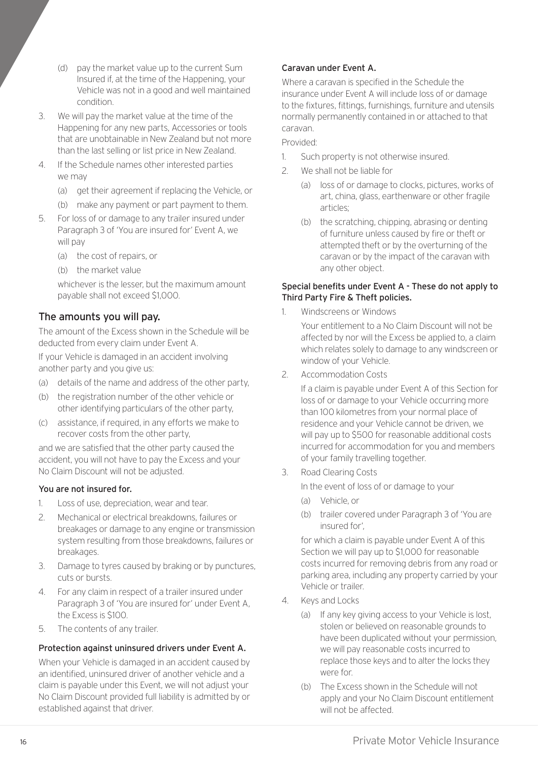- (d) pay the market value up to the current Sum Insured if, at the time of the Happening, your Vehicle was not in a good and well maintained condition.
- 3. We will pay the market value at the time of the Happening for any new parts, Accessories or tools that are unobtainable in New Zealand but not more than the last selling or list price in New Zealand.
- 4. If the Schedule names other interested parties we may
	- (a) get their agreement if replacing the Vehicle, or
	- (b) make any payment or part payment to them.
- 5. For loss of or damage to any trailer insured under Paragraph 3 of 'You are insured for' Event A, we will pay
	- (a) the cost of repairs, or
	- (b) the market value

whichever is the lesser, but the maximum amount payable shall not exceed \$1,000.

#### The amounts you will pay.

The amount of the Excess shown in the Schedule will be deducted from every claim under Event A.

If your Vehicle is damaged in an accident involving another party and you give us:

- (a) details of the name and address of the other party,
- (b) the registration number of the other vehicle or other identifying particulars of the other party,
- (c) assistance, if required, in any efforts we make to recover costs from the other party,

and we are satisfied that the other party caused the accident, you will not have to pay the Excess and your No Claim Discount will not be adjusted.

#### You are not insured for.

- 1. Loss of use, depreciation, wear and tear.
- 2. Mechanical or electrical breakdowns, failures or breakages or damage to any engine or transmission system resulting from those breakdowns, failures or breakages.
- 3. Damage to tyres caused by braking or by punctures, cuts or bursts.
- 4. For any claim in respect of a trailer insured under Paragraph 3 of 'You are insured for' under Event A, the Excess is \$100.
- 5. The contents of any trailer.

#### Protection against uninsured drivers under Event A.

When your Vehicle is damaged in an accident caused by an identified, uninsured driver of another vehicle and a claim is payable under this Event, we will not adjust your No Claim Discount provided full liability is admitted by or established against that driver.

#### Caravan under Event A.

Where a caravan is specified in the Schedule the insurance under Event A will include loss of or damage to the fixtures, fittings, furnishings, furniture and utensils normally permanently contained in or attached to that caravan.

#### Provided:

- 1. Such property is not otherwise insured.
- 2. We shall not be liable for
	- (a) loss of or damage to clocks, pictures, works of art, china, glass, earthenware or other fragile articles;
	- (b) the scratching, chipping, abrasing or denting of furniture unless caused by fire or theft or attempted theft or by the overturning of the caravan or by the impact of the caravan with any other object.

#### Special benefits under Event A - These do not apply to Third Party Fire & Theft policies.

1. Windscreens or Windows

Your entitlement to a No Claim Discount will not be affected by nor will the Excess be applied to, a claim which relates solely to damage to any windscreen or window of your Vehicle.

2. Accommodation Costs

If a claim is payable under Event A of this Section for loss of or damage to your Vehicle occurring more than 100 kilometres from your normal place of residence and your Vehicle cannot be driven, we will pay up to \$500 for reasonable additional costs incurred for accommodation for you and members of your family travelling together.

3. Road Clearing Costs

In the event of loss of or damage to your

- (a) Vehicle, or
- (b) trailer covered under Paragraph 3 of 'You are insured for',

for which a claim is payable under Event A of this Section we will pay up to \$1,000 for reasonable costs incurred for removing debris from any road or parking area, including any property carried by your Vehicle or trailer.

- 4. Keys and Locks
	- (a) If any key giving access to your Vehicle is lost, stolen or believed on reasonable grounds to have been duplicated without your permission, we will pay reasonable costs incurred to replace those keys and to alter the locks they were for.
	- (b) The Excess shown in the Schedule will not apply and your No Claim Discount entitlement will not be affected.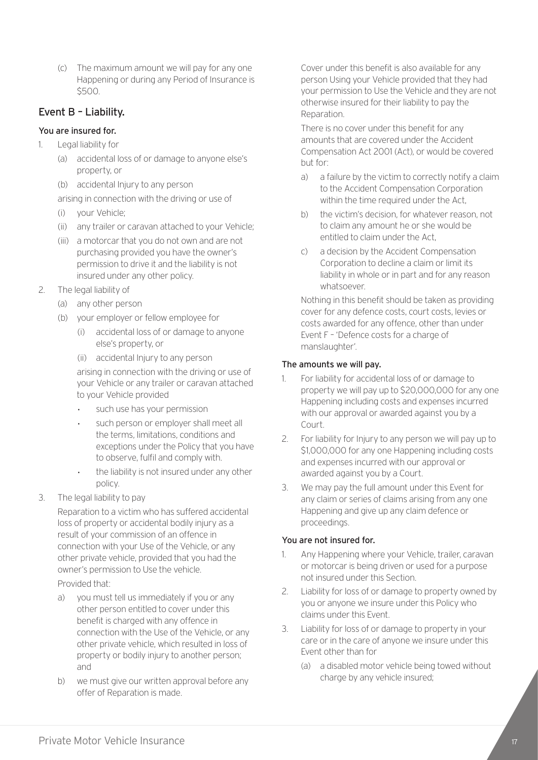(c) The maximum amount we will pay for any one Happening or during any Period of Insurance is \$500.

#### Event B – Liability.

#### You are insured for.

- 1. Legal liability for
	- (a) accidental loss of or damage to anyone else's property, or
	- (b) accidental Injury to any person

arising in connection with the driving or use of

- (i) your Vehicle;
- (ii) any trailer or caravan attached to your Vehicle;
- (iii) a motorcar that you do not own and are not purchasing provided you have the owner's permission to drive it and the liability is not insured under any other policy.
- 2. The legal liability of
	- (a) any other person
	- (b) your employer or fellow employee for
		- (i) accidental loss of or damage to anyone else's property, or
		- (ii) accidental Injury to any person

arising in connection with the driving or use of your Vehicle or any trailer or caravan attached to your Vehicle provided

- *•* such use has your permission
- *•* such person or employer shall meet all the terms, limitations, conditions and exceptions under the Policy that you have to observe, fulfil and comply with.
- *•* the liability is not insured under any other policy.
- 3. The legal liability to pay

Reparation to a victim who has suffered accidental loss of property or accidental bodily injury as a result of your commission of an offence in connection with your Use of the Vehicle, or any other private vehicle, provided that you had the owner's permission to Use the vehicle.

#### Provided that:

- a) you must tell us immediately if you or any other person entitled to cover under this benefit is charged with any offence in connection with the Use of the Vehicle, or any other private vehicle, which resulted in loss of property or bodily injury to another person; and
- b) we must give our written approval before any offer of Reparation is made.

Cover under this benefit is also available for any person Using your Vehicle provided that they had your permission to Use the Vehicle and they are not otherwise insured for their liability to pay the Reparation.

There is no cover under this benefit for any amounts that are covered under the Accident Compensation Act 2001 (Act), or would be covered but for:

- a) a failure by the victim to correctly notify a claim to the Accident Compensation Corporation within the time required under the Act.
- b) the victim's decision, for whatever reason, not to claim any amount he or she would be entitled to claim under the Act,
- c) a decision by the Accident Compensation Corporation to decline a claim or limit its liability in whole or in part and for any reason whatsoever.

Nothing in this benefit should be taken as providing cover for any defence costs, court costs, levies or costs awarded for any offence, other than under Event F – 'Defence costs for a charge of manslaughter'.

#### The amounts we will pay.

- 1. For liability for accidental loss of or damage to property we will pay up to \$20,000,000 for any one Happening including costs and expenses incurred with our approval or awarded against you by a Court.
- 2. For liability for Injury to any person we will pay up to \$1,000,000 for any one Happening including costs and expenses incurred with our approval or awarded against you by a Court.
- 3. We may pay the full amount under this Event for any claim or series of claims arising from any one Happening and give up any claim defence or proceedings.

#### You are not insured for.

- 1. Any Happening where your Vehicle, trailer, caravan or motorcar is being driven or used for a purpose not insured under this Section.
- 2. Liability for loss of or damage to property owned by you or anyone we insure under this Policy who claims under this Event.
- 3. Liability for loss of or damage to property in your care or in the care of anyone we insure under this Event other than for
	- (a) a disabled motor vehicle being towed without charge by any vehicle insured;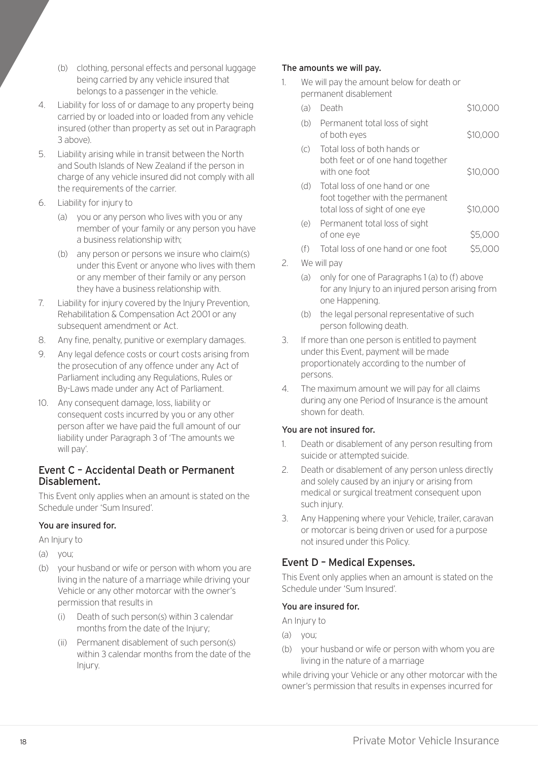- (b) clothing, personal effects and personal luggage being carried by any vehicle insured that belongs to a passenger in the vehicle.
- 4. Liability for loss of or damage to any property being carried by or loaded into or loaded from any vehicle insured (other than property as set out in Paragraph 3 above).
- 5. Liability arising while in transit between the North and South Islands of New Zealand if the person in charge of any vehicle insured did not comply with all the requirements of the carrier.
- 6. Liability for injury to
	- (a) you or any person who lives with you or any member of your family or any person you have a business relationship with;
	- (b) any person or persons we insure who claim(s) under this Event or anyone who lives with them or any member of their family or any person they have a business relationship with.
- 7. Liability for injury covered by the Injury Prevention, Rehabilitation & Compensation Act 2001 or any subsequent amendment or Act.
- 8. Any fine, penalty, punitive or exemplary damages.
- 9. Any legal defence costs or court costs arising from the prosecution of any offence under any Act of Parliament including any Regulations, Rules or By-Laws made under any Act of Parliament.
- 10. Any consequent damage, loss, liability or consequent costs incurred by you or any other person after we have paid the full amount of our liability under Paragraph 3 of 'The amounts we will pay'.

#### Event C – Accidental Death or Permanent Disablement.

This Event only applies when an amount is stated on the Schedule under 'Sum Insured'.

#### You are insured for.

An Injury to

- (a) you;
- (b) your husband or wife or person with whom you are living in the nature of a marriage while driving your Vehicle or any other motorcar with the owner's permission that results in
	- (i) Death of such person(s) within 3 calendar months from the date of the Injury;
	- (ii) Permanent disablement of such person(s) within 3 calendar months from the date of the Injury.

#### The amounts we will pay.

1. We will pay the amount below for death or permanent disablement

| (a) | Death                                                                                               | S10.000  |
|-----|-----------------------------------------------------------------------------------------------------|----------|
| (b) | Permanent total loss of sight<br>of both eyes                                                       | \$10,000 |
| (C) | Total loss of both hands or<br>both feet or of one hand together<br>with one foot                   | \$10,000 |
| (d) | Total loss of one hand or one<br>foot together with the permanent<br>total loss of sight of one eye | \$10,000 |
| (e) | Permanent total loss of sight                                                                       |          |
|     | of one eve                                                                                          |          |
|     |                                                                                                     |          |

- $(f)$  Total loss of one hand or one foot  $\sim$  \$5,000
- 2. We will pay
	- (a) only for one of Paragraphs 1 (a) to (f) above for any Injury to an injured person arising from one Happening.
	- (b) the legal personal representative of such person following death.
- 3. If more than one person is entitled to payment under this Event, payment will be made proportionately according to the number of persons.
- 4. The maximum amount we will pay for all claims during any one Period of Insurance is the amount shown for death.

#### You are not insured for.

- 1. Death or disablement of any person resulting from suicide or attempted suicide.
- 2. Death or disablement of any person unless directly and solely caused by an injury or arising from medical or surgical treatment consequent upon such injury.
- 3. Any Happening where your Vehicle, trailer, caravan or motorcar is being driven or used for a purpose not insured under this Policy.

#### Event D – Medical Expenses.

This Event only applies when an amount is stated on the Schedule under 'Sum Insured'.

#### You are insured for.

An Injury to

- (a) you;
- (b) your husband or wife or person with whom you are living in the nature of a marriage

while driving your Vehicle or any other motorcar with the owner's permission that results in expenses incurred for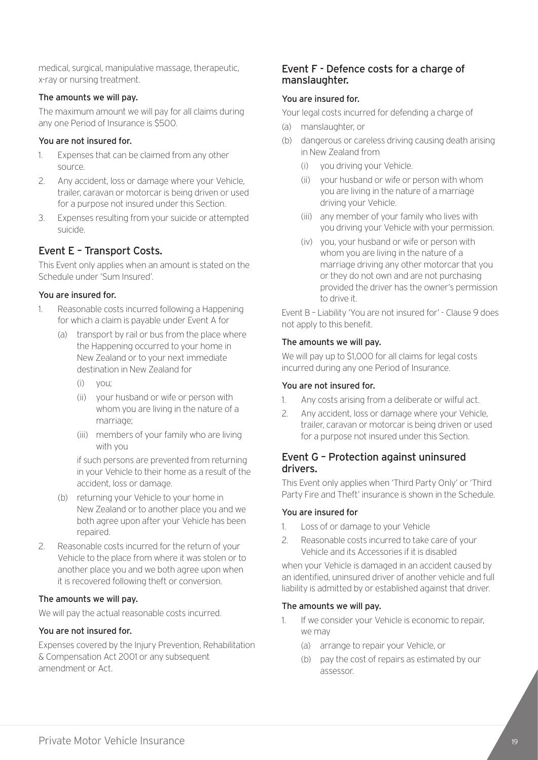medical, surgical, manipulative massage, therapeutic, x-ray or nursing treatment.

#### The amounts we will pay.

The maximum amount we will pay for all claims during any one Period of Insurance is \$500.

#### You are not insured for.

- 1. Expenses that can be claimed from any other source.
- 2. Any accident, loss or damage where your Vehicle, trailer, caravan or motorcar is being driven or used for a purpose not insured under this Section.
- 3. Expenses resulting from your suicide or attempted suicide.

#### Event E – Transport Costs.

This Event only applies when an amount is stated on the Schedule under 'Sum Insured'.

#### You are insured for.

- 1. Reasonable costs incurred following a Happening for which a claim is payable under Event A for
	- (a) transport by rail or bus from the place where the Happening occurred to your home in New Zealand or to your next immediate destination in New Zealand for
		- (i) you;
		- (ii) your husband or wife or person with whom you are living in the nature of a marriage;
		- (iii) members of your family who are living with you

if such persons are prevented from returning in your Vehicle to their home as a result of the accident, loss or damage.

- (b) returning your Vehicle to your home in New Zealand or to another place you and we both agree upon after your Vehicle has been repaired.
- 2. Reasonable costs incurred for the return of your Vehicle to the place from where it was stolen or to another place you and we both agree upon when it is recovered following theft or conversion.

#### The amounts we will pay.

We will pay the actual reasonable costs incurred.

#### You are not insured for.

Expenses covered by the Injury Prevention, Rehabilitation & Compensation Act 2001 or any subsequent amendment or Act.

#### Event F - Defence costs for a charge of manslaughter.

#### You are insured for.

Your legal costs incurred for defending a charge of

- (a) manslaughter, or
- (b) dangerous or careless driving causing death arising in New Zealand from
	- (i) you driving your Vehicle.
	- (ii) your husband or wife or person with whom you are living in the nature of a marriage driving your Vehicle.
	- (iii) any member of your family who lives with you driving your Vehicle with your permission.
	- (iv) you, your husband or wife or person with whom you are living in the nature of a marriage driving any other motorcar that you or they do not own and are not purchasing provided the driver has the owner's permission to drive it.

Event B – Liability 'You are not insured for' - Clause 9 does not apply to this benefit.

#### The amounts we will pay.

We will pay up to \$1,000 for all claims for legal costs incurred during any one Period of Insurance.

#### You are not insured for.

- 1. Any costs arising from a deliberate or wilful act.
- 2. Any accident, loss or damage where your Vehicle, trailer, caravan or motorcar is being driven or used for a purpose not insured under this Section.

#### Event G – Protection against uninsured drivers.

This Event only applies when 'Third Party Only' or 'Third Party Fire and Theft' insurance is shown in the Schedule.

#### You are insured for

- 1. Loss of or damage to your Vehicle
- 2. Reasonable costs incurred to take care of your Vehicle and its Accessories if it is disabled

when your Vehicle is damaged in an accident caused by an identified, uninsured driver of another vehicle and full liability is admitted by or established against that driver.

#### The amounts we will pay.

- 1. If we consider your Vehicle is economic to repair, we may
	- (a) arrange to repair your Vehicle, or
	- (b) pay the cost of repairs as estimated by our assessor.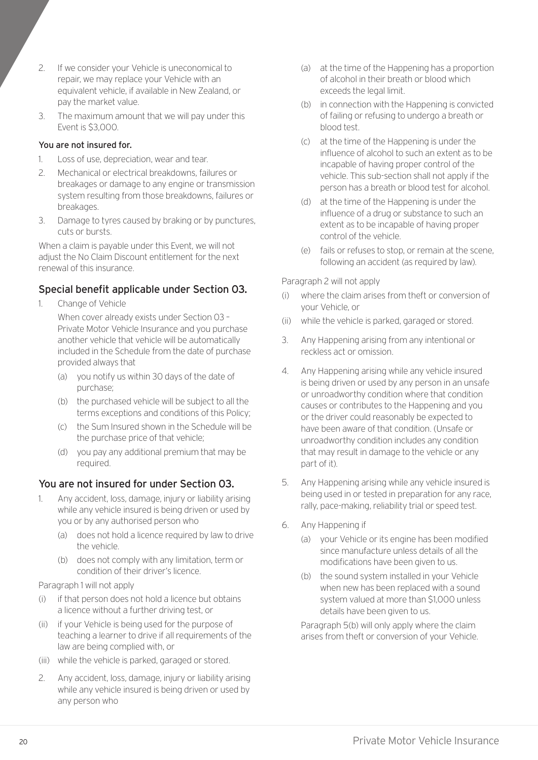- 2. If we consider your Vehicle is uneconomical to repair, we may replace your Vehicle with an equivalent vehicle, if available in New Zealand, or pay the market value.
- 3. The maximum amount that we will pay under this Event is \$3,000.

#### You are not insured for.

- 1. Loss of use, depreciation, wear and tear.
- 2. Mechanical or electrical breakdowns, failures or breakages or damage to any engine or transmission system resulting from those breakdowns, failures or breakages.
- 3. Damage to tyres caused by braking or by punctures, cuts or bursts.

When a claim is payable under this Event, we will not adjust the No Claim Discount entitlement for the next renewal of this insurance.

#### Special benefit applicable under Section 03.

1. Change of Vehicle

When cover already exists under Section 03 – Private Motor Vehicle Insurance and you purchase another vehicle that vehicle will be automatically included in the Schedule from the date of purchase provided always that

- (a) you notify us within 30 days of the date of purchase;
- (b) the purchased vehicle will be subject to all the terms exceptions and conditions of this Policy;
- (c) the Sum Insured shown in the Schedule will be the purchase price of that vehicle;
- (d) you pay any additional premium that may be required.

#### You are not insured for under Section 03.

- 1. Any accident, loss, damage, injury or liability arising while any vehicle insured is being driven or used by you or by any authorised person who
	- (a) does not hold a licence required by law to drive the vehicle.
	- (b) does not comply with any limitation, term or condition of their driver's licence.

#### Paragraph 1 will not apply

- (i) if that person does not hold a licence but obtains a licence without a further driving test, or
- (ii) if your Vehicle is being used for the purpose of teaching a learner to drive if all requirements of the law are being complied with, or
- (iii) while the vehicle is parked, garaged or stored.
- 2. Any accident, loss, damage, injury or liability arising while any vehicle insured is being driven or used by any person who
- (a) at the time of the Happening has a proportion of alcohol in their breath or blood which exceeds the legal limit.
- (b) in connection with the Happening is convicted of failing or refusing to undergo a breath or blood test.
- (c) at the time of the Happening is under the influence of alcohol to such an extent as to be incapable of having proper control of the vehicle. This sub-section shall not apply if the person has a breath or blood test for alcohol.
- (d) at the time of the Happening is under the influence of a drug or substance to such an extent as to be incapable of having proper control of the vehicle.
- (e) fails or refuses to stop, or remain at the scene, following an accident (as required by law).

#### Paragraph 2 will not apply

- (i) where the claim arises from theft or conversion of your Vehicle, or
- (ii) while the vehicle is parked, garaged or stored.
- 3. Any Happening arising from any intentional or reckless act or omission.
- 4. Any Happening arising while any vehicle insured is being driven or used by any person in an unsafe or unroadworthy condition where that condition causes or contributes to the Happening and you or the driver could reasonably be expected to have been aware of that condition. (Unsafe or unroadworthy condition includes any condition that may result in damage to the vehicle or any part of it).
- 5. Any Happening arising while any vehicle insured is being used in or tested in preparation for any race, rally, pace-making, reliability trial or speed test.
- 6. Any Happening if
	- (a) your Vehicle or its engine has been modified since manufacture unless details of all the modifications have been given to us.
	- (b) the sound system installed in your Vehicle when new has been replaced with a sound system valued at more than \$1,000 unless details have been given to us.

Paragraph 5(b) will only apply where the claim arises from theft or conversion of your Vehicle.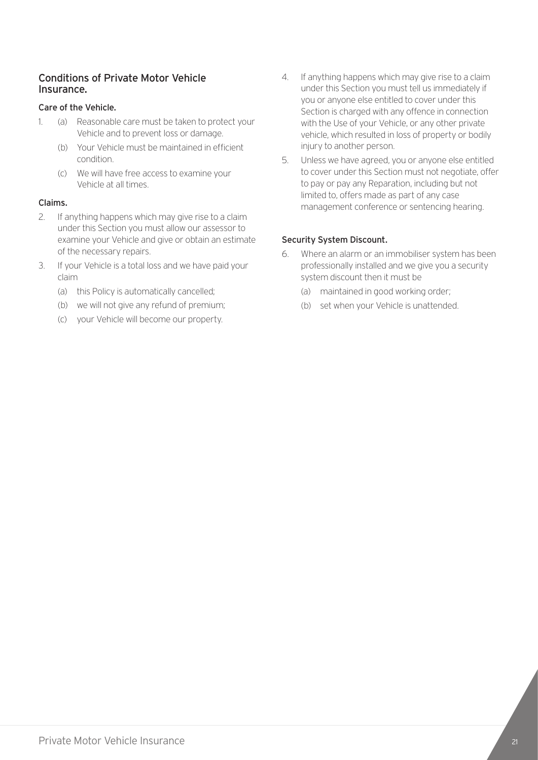#### Conditions of Private Motor Vehicle Insurance.

#### Care of the Vehicle.

- 1. (a) Reasonable care must be taken to protect your Vehicle and to prevent loss or damage.
	- (b) Your Vehicle must be maintained in efficient condition.
	- (c) We will have free access to examine your Vehicle at all times.

#### Claims.

- 2. If anything happens which may give rise to a claim under this Section you must allow our assessor to examine your Vehicle and give or obtain an estimate of the necessary repairs.
- 3. If your Vehicle is a total loss and we have paid your claim
	- (a) this Policy is automatically cancelled;
	- (b) we will not give any refund of premium;
	- (c) your Vehicle will become our property.
- 4. If anything happens which may give rise to a claim under this Section you must tell us immediately if you or anyone else entitled to cover under this Section is charged with any offence in connection with the Use of your Vehicle, or any other private vehicle, which resulted in loss of property or bodily injury to another person.
- 5. Unless we have agreed, you or anyone else entitled to cover under this Section must not negotiate, offer to pay or pay any Reparation, including but not limited to, offers made as part of any case management conference or sentencing hearing.

#### Security System Discount.

- 6. Where an alarm or an immobiliser system has been professionally installed and we give you a security system discount then it must be
	- (a) maintained in good working order;
	- (b) set when your Vehicle is unattended.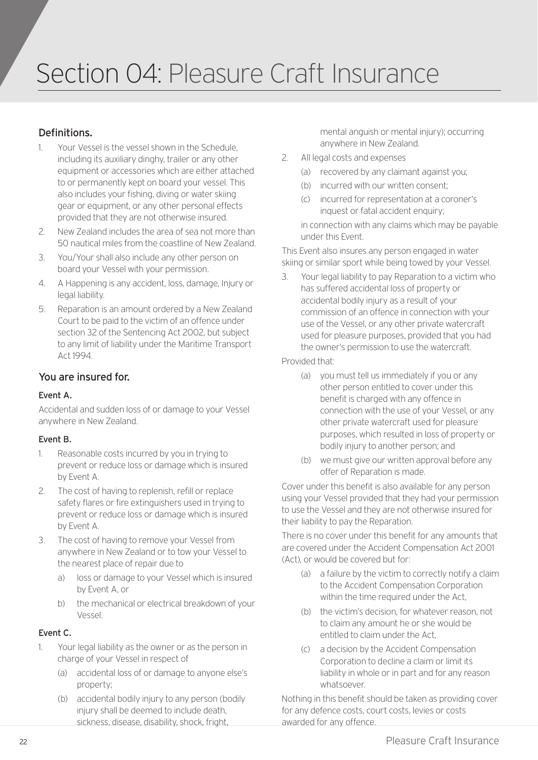### Section 04: Pleasure Craft Insurance

#### Definitions.

- 1. Your Vessel is the vessel shown in the Schedule, including its auxiliary dinghy, trailer or any other equipment or accessories which are either attached to or permanently kept on board your vessel. This also includes your fishing, diving or water skiing gear or equipment, or any other personal effects provided that they are not otherwise insured.
- 2. New Zealand includes the area of sea not more than 50 nautical miles from the coastline of New Zealand.
- 3. You/Your shall also include any other person on board your Vessel with your permission.
- 4. A Happening is any accident, loss, damage, Injury or legal liability.
- 5. Reparation is an amount ordered by a New Zealand Court to be paid to the victim of an offence under section 32 of the Sentencing Act 2002, but subject to any limit of liability under the Maritime Transport Act 1994.

#### You are insured for.

#### Event A.

Accidental and sudden loss of or damage to your Vessel anywhere in New Zealand.

#### Event B.

- 1. Reasonable costs incurred by you in trying to prevent or reduce loss or damage which is insured by Event A.
- 2. The cost of having to replenish, refill or replace safety flares or fire extinguishers used in trying to prevent or reduce loss or damage which is insured by Event A.
- 3. The cost of having to remove your Vessel from anywhere in New Zealand or to tow your Vessel to the nearest place of repair due to
	- a) loss or damage to your Vessel which is insured by Event A, or
	- b) the mechanical or electrical breakdown of your Vessel.

#### Event C.

- 1. Your legal liability as the owner or as the person in charge of your Vessel in respect of
	- (a) accidental loss of or damage to anyone else's property;
	- (b) accidental bodily injury to any person (bodily injury shall be deemed to include death, sickness, disease, disability, shock, fright,

mental anguish or mental injury); occurring anywhere in New Zealand.

- 2. All legal costs and expenses
	- (a) recovered by any claimant against you;
	- (b) incurred with our written consent;
	- (c) incurred for representation at a coroner's inquest or fatal accident enquiry;

in connection with any claims which may be payable under this Event.

This Event also insures any person engaged in water skiing or similar sport while being towed by your Vessel.

3. Your legal liability to pay Reparation to a victim who has suffered accidental loss of property or accidental bodily injury as a result of your commission of an offence in connection with your use of the Vessel, or any other private watercraft used for pleasure purposes, provided that you had the owner's permission to use the watercraft.

Provided that:

- (a) you must tell us immediately if you or any other person entitled to cover under this benefit is charged with any offence in connection with the use of your Vessel, or any other private watercraft used for pleasure purposes, which resulted in loss of property or bodily injury to another person; and
- (b) we must give our written approval before any offer of Reparation is made.

Cover under this benefit is also available for any person using your Vessel provided that they had your permission to use the Vessel and they are not otherwise insured for their liability to pay the Reparation.

There is no cover under this benefit for any amounts that are covered under the Accident Compensation Act 2001 (Act), or would be covered but for:

- (a) a failure by the victim to correctly notify a claim to the Accident Compensation Corporation within the time required under the Act,
- (b) the victim's decision, for whatever reason, not to claim any amount he or she would be entitled to claim under the Act,
- (c) a decision by the Accident Compensation Corporation to decline a claim or limit its liability in whole or in part and for any reason whatsoever.

Nothing in this benefit should be taken as providing cover for any defence costs, court costs, levies or costs awarded for any offence.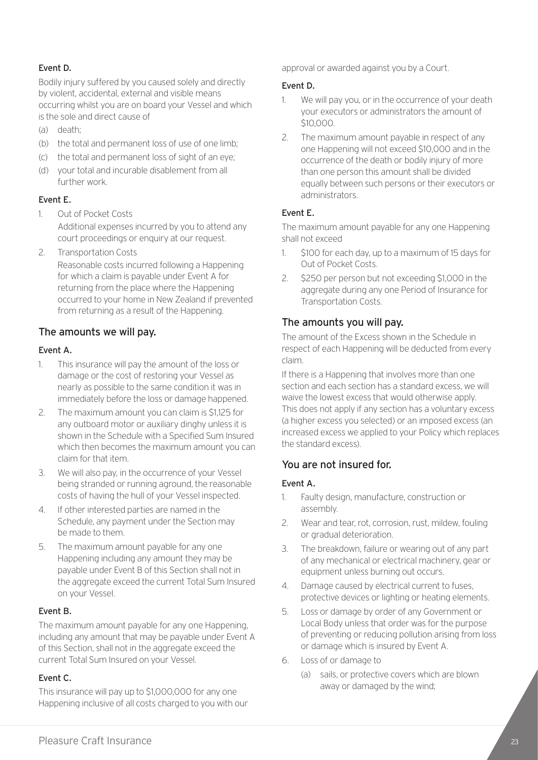#### Event D.

Bodily injury suffered by you caused solely and directly by violent, accidental, external and visible means occurring whilst you are on board your Vessel and which is the sole and direct cause of

- (a) death;
- (b) the total and permanent loss of use of one limb;
- (c) the total and permanent loss of sight of an eye;
- (d) your total and incurable disablement from all further work.

#### Event E.

- 1. Out of Pocket Costs Additional expenses incurred by you to attend any court proceedings or enquiry at our request.
- 2. Transportation Costs

Reasonable costs incurred following a Happening for which a claim is payable under Event A for returning from the place where the Happening occurred to your home in New Zealand if prevented from returning as a result of the Happening.

#### The amounts we will pay.

#### Event A.

- 1. This insurance will pay the amount of the loss or damage or the cost of restoring your Vessel as nearly as possible to the same condition it was in immediately before the loss or damage happened.
- 2. The maximum amount you can claim is \$1,125 for any outboard motor or auxiliary dinghy unless it is shown in the Schedule with a Specified Sum Insured which then becomes the maximum amount you can claim for that item.
- 3. We will also pay, in the occurrence of your Vessel being stranded or running aground, the reasonable costs of having the hull of your Vessel inspected.
- 4. If other interested parties are named in the Schedule, any payment under the Section may be made to them.
- 5. The maximum amount payable for any one Happening including any amount they may be payable under Event B of this Section shall not in the aggregate exceed the current Total Sum Insured on your Vessel.

#### Event B.

The maximum amount payable for any one Happening, including any amount that may be payable under Event A of this Section, shall not in the aggregate exceed the current Total Sum Insured on your Vessel.

#### Event C.

This insurance will pay up to \$1,000,000 for any one Happening inclusive of all costs charged to you with our approval or awarded against you by a Court.

#### Event D.

- 1. We will pay you, or in the occurrence of your death your executors or administrators the amount of \$10,000.
- 2. The maximum amount payable in respect of any one Happening will not exceed \$10,000 and in the occurrence of the death or bodily injury of more than one person this amount shall be divided equally between such persons or their executors or administrators.

#### Event E.

The maximum amount payable for any one Happening shall not exceed

- 1. \$100 for each day, up to a maximum of 15 days for Out of Pocket Costs.
- 2. \$250 per person but not exceeding \$1,000 in the aggregate during any one Period of Insurance for Transportation Costs.

#### The amounts you will pay.

The amount of the Excess shown in the Schedule in respect of each Happening will be deducted from every claim.

If there is a Happening that involves more than one section and each section has a standard excess, we will waive the lowest excess that would otherwise apply. This does not apply if any section has a voluntary excess (a higher excess you selected) or an imposed excess (an increased excess we applied to your Policy which replaces the standard excess).

#### You are not insured for.

#### Event A.

- 1. Faulty design, manufacture, construction or assembly.
- 2. Wear and tear, rot, corrosion, rust, mildew, fouling or gradual deterioration.
- 3. The breakdown, failure or wearing out of any part of any mechanical or electrical machinery, gear or equipment unless burning out occurs.
- 4. Damage caused by electrical current to fuses, protective devices or lighting or heating elements.
- 5. Loss or damage by order of any Government or Local Body unless that order was for the purpose of preventing or reducing pollution arising from loss or damage which is insured by Event A.
- 6. Loss of or damage to
	- (a) sails, or protective covers which are blown away or damaged by the wind;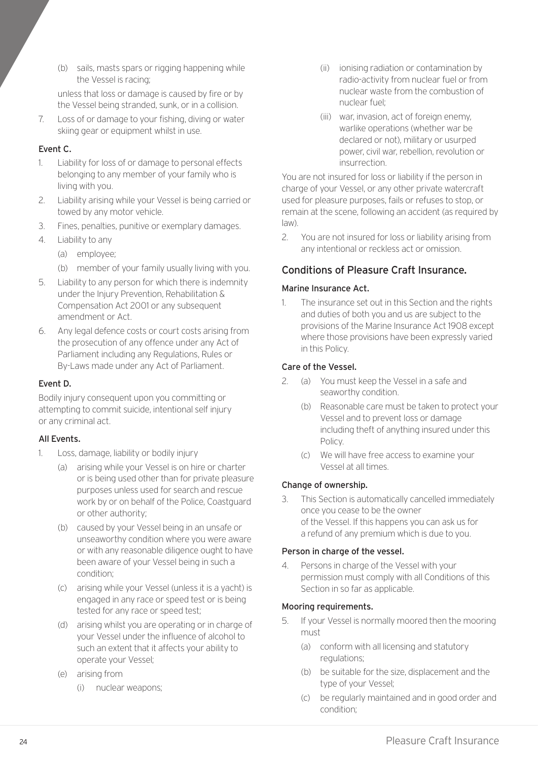(b) sails, masts spars or rigging happening while the Vessel is racing;

unless that loss or damage is caused by fire or by the Vessel being stranded, sunk, or in a collision.

7. Loss of or damage to your fishing, diving or water skiing gear or equipment whilst in use.

#### Event C.

- 1. Liability for loss of or damage to personal effects belonging to any member of your family who is living with you.
- 2. Liability arising while your Vessel is being carried or towed by any motor vehicle.
- 3. Fines, penalties, punitive or exemplary damages.
- 4. Liability to any
	- (a) employee;
	- (b) member of your family usually living with you.
- 5. Liability to any person for which there is indemnity under the Injury Prevention, Rehabilitation & Compensation Act 2001 or any subsequent amendment or Act.
- 6. Any legal defence costs or court costs arising from the prosecution of any offence under any Act of Parliament including any Regulations, Rules or By-Laws made under any Act of Parliament.

#### Event D.

Bodily injury consequent upon you committing or attempting to commit suicide, intentional self injury or any criminal act.

#### All Events.

- 1. Loss, damage, liability or bodily injury
	- (a) arising while your Vessel is on hire or charter or is being used other than for private pleasure purposes unless used for search and rescue work by or on behalf of the Police, Coastguard or other authority;
	- (b) caused by your Vessel being in an unsafe or unseaworthy condition where you were aware or with any reasonable diligence ought to have been aware of your Vessel being in such a condition;
	- (c) arising while your Vessel (unless it is a yacht) is engaged in any race or speed test or is being tested for any race or speed test;
	- (d) arising whilst you are operating or in charge of your Vessel under the influence of alcohol to such an extent that it affects your ability to operate your Vessel;
	- (e) arising from
		- (i) nuclear weapons;
- (ii) ionising radiation or contamination by radio-activity from nuclear fuel or from nuclear waste from the combustion of nuclear fuel;
- (iii) war, invasion, act of foreign enemy, warlike operations (whether war be declared or not), military or usurped power, civil war, rebellion, revolution or insurrection.

You are not insured for loss or liability if the person in charge of your Vessel, or any other private watercraft used for pleasure purposes, fails or refuses to stop, or remain at the scene, following an accident (as required by law).

2. You are not insured for loss or liability arising from any intentional or reckless act or omission.

#### Conditions of Pleasure Craft Insurance.

#### Marine Insurance Act.

1. The insurance set out in this Section and the rights and duties of both you and us are subject to the provisions of the Marine Insurance Act 1908 except where those provisions have been expressly varied in this Policy.

#### Care of the Vessel.

- 2. (a) You must keep the Vessel in a safe and seaworthy condition.
	- (b) Reasonable care must be taken to protect your Vessel and to prevent loss or damage including theft of anything insured under this Policy.
	- (c) We will have free access to examine your Vessel at all times.

#### Change of ownership.

3. This Section is automatically cancelled immediately once you cease to be the owner of the Vessel. If this happens you can ask us for a refund of any premium which is due to you.

#### Person in charge of the vessel.

4. Persons in charge of the Vessel with your permission must comply with all Conditions of this Section in so far as applicable.

#### Mooring requirements.

- 5. If your Vessel is normally moored then the mooring must
	- (a) conform with all licensing and statutory regulations;
	- (b) be suitable for the size, displacement and the type of your Vessel;
	- (c) be regularly maintained and in good order and condition;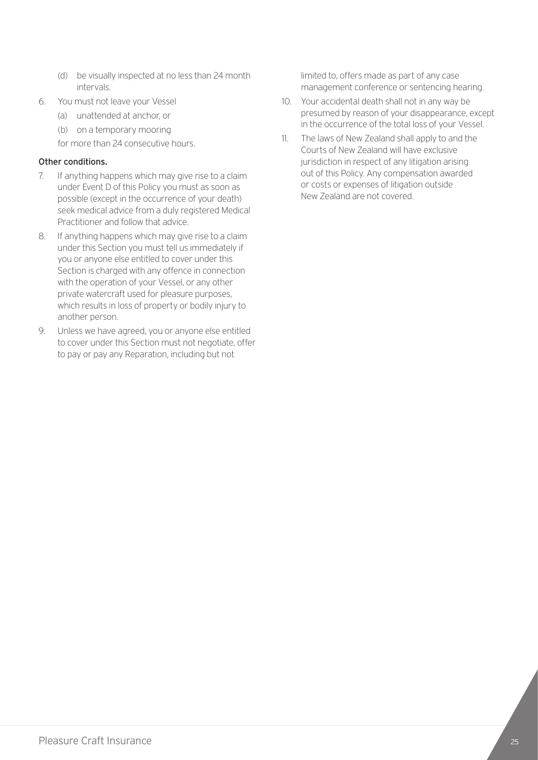- (d) be visually inspected at no less than 24 month intervals.
- 6. You must not leave your Vessel
	- (a) unattended at anchor, or
	- (b) on a temporary mooring

for more than 24 consecutive hours.

#### Other conditions.

- 7. If anything happens which may give rise to a claim under Event D of this Policy you must as soon as possible (except in the occurrence of your death) seek medical advice from a duly registered Medical Practitioner and follow that advice.
- 8. If anything happens which may give rise to a claim under this Section you must tell us immediately if you or anyone else entitled to cover under this Section is charged with any offence in connection with the operation of your Vessel, or any other private watercraft used for pleasure purposes, which results in loss of property or bodily injury to another person.
- 9. Unless we have agreed, you or anyone else entitled to cover under this Section must not negotiate, offer to pay or pay any Reparation, including but not

limited to, offers made as part of any case management conference or sentencing hearing.

- 10. Your accidental death shall not in any way be presumed by reason of your disappearance, except in the occurrence of the total loss of your Vessel.
- 11. The laws of New Zealand shall apply to and the Courts of New Zealand will have exclusive jurisdiction in respect of any litigation arising out of this Policy. Any compensation awarded or costs or expenses of litigation outside New Zealand are not covered.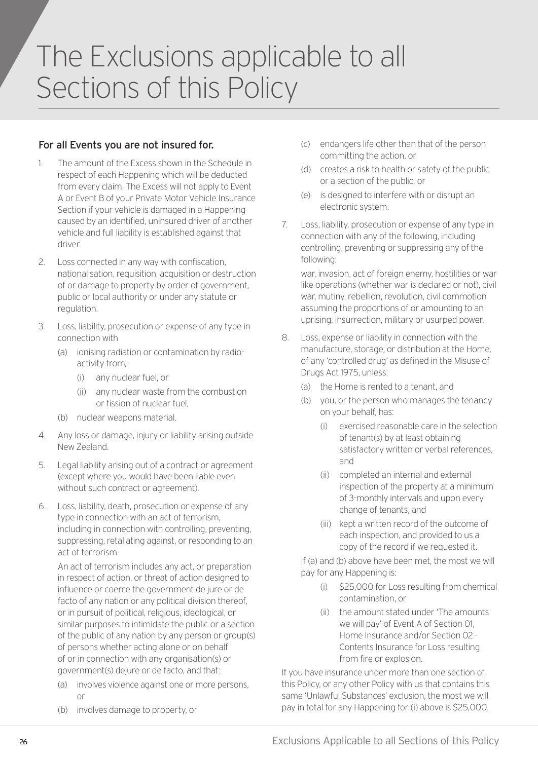## The Exclusions applicable to all Sections of this Policy

#### For all Events you are not insured for.

- 1. The amount of the Excess shown in the Schedule in respect of each Happening which will be deducted from every claim. The Excess will not apply to Event A or Event B of your Private Motor Vehicle Insurance Section if your vehicle is damaged in a Happening caused by an identified, uninsured driver of another vehicle and full liability is established against that driver.
- 2. Loss connected in any way with confiscation, nationalisation, requisition, acquisition or destruction of or damage to property by order of government, public or local authority or under any statute or regulation.
- 3. Loss, liability, prosecution or expense of any type in connection with
	- (a) ionising radiation or contamination by radioactivity from;
		- (i) any nuclear fuel, or
		- (ii) any nuclear waste from the combustion or fission of nuclear fuel,
	- (b) nuclear weapons material.
- 4. Any loss or damage, injury or liability arising outside New Zealand.
- 5. Legal liability arising out of a contract or agreement (except where you would have been liable even without such contract or agreement).
- 6. Loss, liability, death, prosecution or expense of any type in connection with an act of terrorism, including in connection with controlling, preventing, suppressing, retaliating against, or responding to an act of terrorism.

An act of terrorism includes any act, or preparation in respect of action, or threat of action designed to influence or coerce the government de jure or de facto of any nation or any political division thereof, or in pursuit of political, religious, ideological, or similar purposes to intimidate the public or a section of the public of any nation by any person or group(s) of persons whether acting alone or on behalf of or in connection with any organisation(s) or government(s) dejure or de facto, and that:

- (a) involves violence against one or more persons, or
- (b) involves damage to property, or
- (c) endangers life other than that of the person committing the action, or
- (d) creates a risk to health or safety of the public or a section of the public, or
- (e) is designed to interfere with or disrupt an electronic system.
- 7. Loss, liability, prosecution or expense of any type in connection with any of the following, including controlling, preventing or suppressing any of the following:

war, invasion, act of foreign enemy, hostilities or war like operations (whether war is declared or not), civil war, mutiny, rebellion, revolution, civil commotion assuming the proportions of or amounting to an uprising, insurrection, military or usurped power.

- 8. Loss, expense or liability in connection with the manufacture, storage, or distribution at the Home, of any 'controlled drug' as defined in the Misuse of Drugs Act 1975, unless:
	- (a) the Home is rented to a tenant, and
	- (b) you, or the person who manages the tenancy on your behalf, has:
		- (i) exercised reasonable care in the selection of tenant(s) by at least obtaining satisfactory written or verbal references, and
		- (ii) completed an internal and external inspection of the property at a minimum of 3-monthly intervals and upon every change of tenants, and
		- (iii) kept a written record of the outcome of each inspection, and provided to us a copy of the record if we requested it.

If (a) and (b) above have been met, the most we will pay for any Happening is:

- (i) \$25,000 for Loss resulting from chemical contamination, or
- (ii) the amount stated under 'The amounts we will pay' of Event A of Section 01, Home Insurance and/or Section 02 - Contents Insurance for Loss resulting from fire or explosion.

If you have insurance under more than one section of this Policy, or any other Policy with us that contains this same 'Unlawful Substances' exclusion, the most we will pay in total for any Happening for (i) above is \$25,000.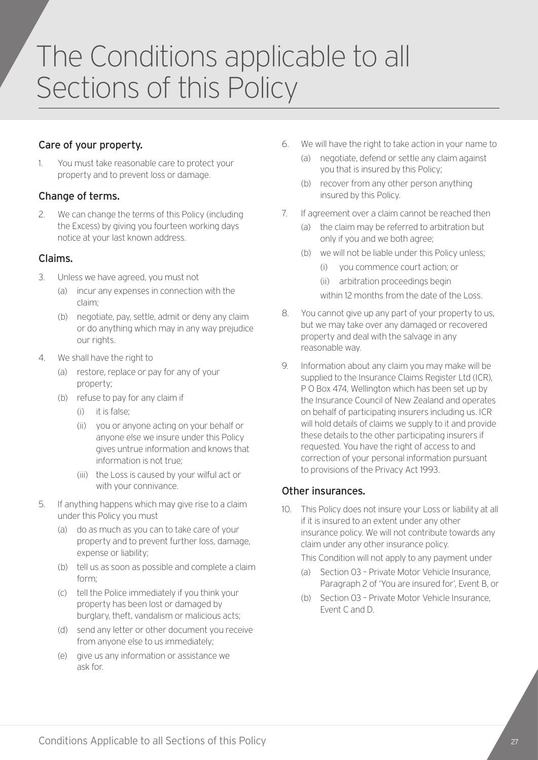## The Conditions applicable to all Sections of this Policy

#### Care of your property.

1. You must take reasonable care to protect your property and to prevent loss or damage.

#### Change of terms.

2. We can change the terms of this Policy (including the Excess) by giving you fourteen working days notice at your last known address.

#### Claims.

- 3. Unless we have agreed, you must not
	- (a) incur any expenses in connection with the claim;
	- (b) negotiate, pay, settle, admit or deny any claim or do anything which may in any way prejudice our rights.
- 4. We shall have the right to
	- (a) restore, replace or pay for any of your property;
	- (b) refuse to pay for any claim if
		- (i) it is false;
		- (ii) you or anyone acting on your behalf or anyone else we insure under this Policy gives untrue information and knows that information is not true;
		- (iii) the Loss is caused by your wilful act or with your connivance.
- 5. If anything happens which may give rise to a claim under this Policy you must
	- (a) do as much as you can to take care of your property and to prevent further loss, damage, expense or liability;
	- (b) tell us as soon as possible and complete a claim form;
	- (c) tell the Police immediately if you think your property has been lost or damaged by burglary, theft, vandalism or malicious acts;
	- (d) send any letter or other document you receive from anyone else to us immediately;
	- (e) give us any information or assistance we ask for.
- 6. We will have the right to take action in your name to
	- (a) negotiate, defend or settle any claim against you that is insured by this Policy;
	- (b) recover from any other person anything insured by this Policy.
- 7. If agreement over a claim cannot be reached then
	- (a) the claim may be referred to arbitration but only if you and we both agree;
	- (b) we will not be liable under this Policy unless;
		- (i) you commence court action; or
		- (ii) arbitration proceedings begin
		- within 12 months from the date of the Loss.
- 8. You cannot give up any part of your property to us, but we may take over any damaged or recovered property and deal with the salvage in any reasonable way.
- 9. Information about any claim you may make will be supplied to the Insurance Claims Register Ltd (ICR), P O Box 474, Wellington which has been set up by the Insurance Council of New Zealand and operates on behalf of participating insurers including us. ICR will hold details of claims we supply to it and provide these details to the other participating insurers if requested. You have the right of access to and correction of your personal information pursuant to provisions of the Privacy Act 1993.

#### Other insurances.

10. This Policy does not insure your Loss or liability at all if it is insured to an extent under any other insurance policy. We will not contribute towards any claim under any other insurance policy.

This Condition will not apply to any payment under

- (a) Section 03 Private Motor Vehicle Insurance, Paragraph 2 of 'You are insured for', Event B, or
- (b) Section 03 Private Motor Vehicle Insurance, Event C and D.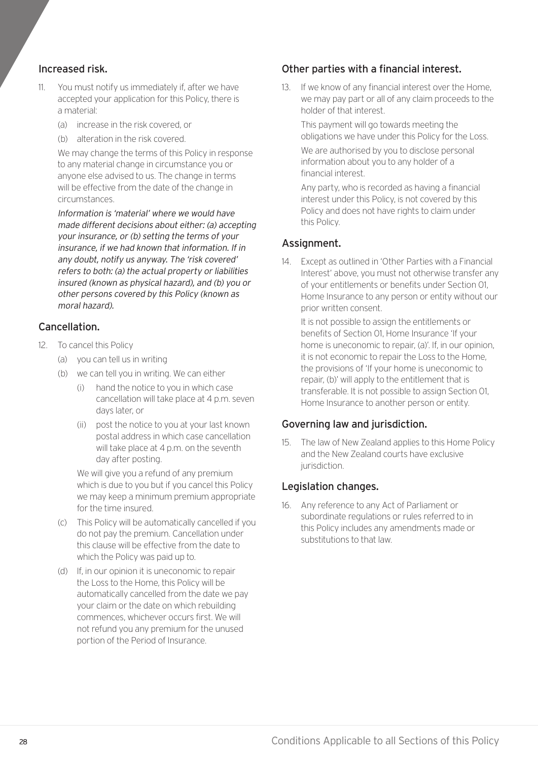#### Increased risk.

- 11. You must notify us immediately if, after we have accepted your application for this Policy, there is a material:
	- (a) increase in the risk covered, or
	- (b) alteration in the risk covered.

We may change the terms of this Policy in response to any material change in circumstance you or anyone else advised to us. The change in terms will be effective from the date of the change in circumstances.

Information is 'material' where we would have made different decisions about either: (a) accepting your insurance, or (b) setting the terms of your insurance, if we had known that information. If in any doubt, notify us anyway. The 'risk covered' refers to both: (a) the actual property or liabilities insured (known as physical hazard), and (b) you or other persons covered by this Policy (known as moral hazard).

#### Cancellation.

- 12. To cancel this Policy
	- (a) you can tell us in writing
	- (b) we can tell you in writing. We can either
		- hand the notice to you in which case cancellation will take place at 4 p.m. seven days later, or
		- (ii) post the notice to you at your last known postal address in which case cancellation will take place at 4 p.m. on the seventh day after posting.

We will give you a refund of any premium which is due to you but if you cancel this Policy we may keep a minimum premium appropriate for the time insured.

- (c) This Policy will be automatically cancelled if you do not pay the premium. Cancellation under this clause will be effective from the date to which the Policy was paid up to.
- (d) If, in our opinion it is uneconomic to repair the Loss to the Home, this Policy will be automatically cancelled from the date we pay your claim or the date on which rebuilding commences, whichever occurs first. We will not refund you any premium for the unused portion of the Period of Insurance.

#### Other parties with a financial interest.

13. If we know of any financial interest over the Home, we may pay part or all of any claim proceeds to the holder of that interest.

This payment will go towards meeting the obligations we have under this Policy for the Loss.

We are authorised by you to disclose personal information about you to any holder of a financial interest.

Any party, who is recorded as having a financial interest under this Policy, is not covered by this Policy and does not have rights to claim under this Policy.

#### Assignment.

14. Except as outlined in 'Other Parties with a Financial Interest' above, you must not otherwise transfer any of your entitlements or benefits under Section 01, Home Insurance to any person or entity without our prior written consent.

It is not possible to assign the entitlements or benefits of Section 01, Home Insurance 'If your home is uneconomic to repair, (a)'. If, in our opinion, it is not economic to repair the Loss to the Home, the provisions of 'If your home is uneconomic to repair, (b)' will apply to the entitlement that is transferable. It is not possible to assign Section 01, Home Insurance to another person or entity.

#### Governing law and jurisdiction.

15. The law of New Zealand applies to this Home Policy and the New Zealand courts have exclusive jurisdiction.

#### Legislation changes.

16. Any reference to any Act of Parliament or subordinate regulations or rules referred to in this Policy includes any amendments made or substitutions to that law.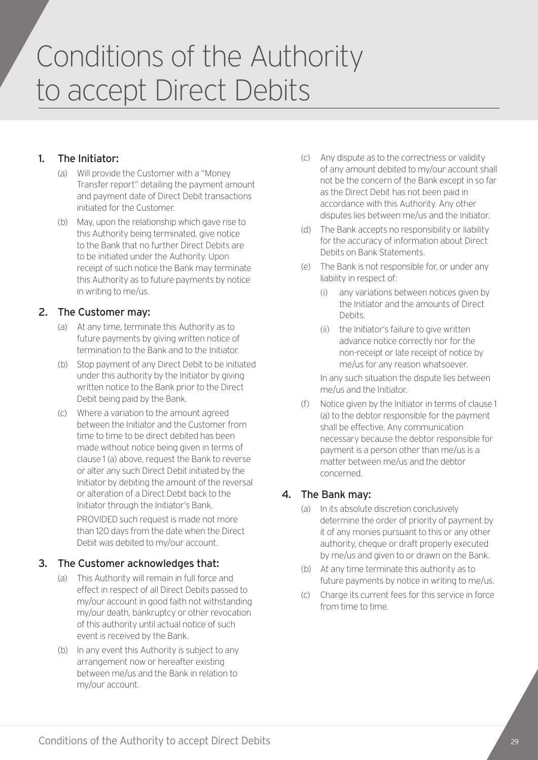## Conditions of the Authority to accept Direct Debits

#### 1. The Initiator:

- (a) Will provide the Customer with a "Money Transfer report" detailing the payment amount and payment date of Direct Debit transactions initiated for the Customer.
- (b) May, upon the relationship which gave rise to this Authority being terminated, give notice to the Bank that no further Direct Debits are to be initiated under the Authority. Upon receipt of such notice the Bank may terminate this Authority as to future payments by notice in writing to me/us.

#### 2. The Customer may:

- (a) At any time, terminate this Authority as to future payments by giving written notice of termination to the Bank and to the Initiator.
- (b) Stop payment of any Direct Debit to be initiated under this authority by the Initiator by giving written notice to the Bank prior to the Direct Debit being paid by the Bank.
- (c) Where a variation to the amount agreed between the Initiator and the Customer from time to time to be direct debited has been made without notice being given in terms of clause 1 (a) above, request the Bank to reverse or alter any such Direct Debit initiated by the Initiator by debiting the amount of the reversal or alteration of a Direct Debit back to the Initiator through the Initiator's Bank.

PROVIDED such request is made not more than 120 days from the date when the Direct Debit was debited to my/our account.

#### 3. The Customer acknowledges that:

- (a) This Authority will remain in full force and effect in respect of all Direct Debits passed to my/our account in good faith not withstanding my/our death, bankruptcy or other revocation of this authority until actual notice of such event is received by the Bank.
- (b) In any event this Authority is subject to any arrangement now or hereafter existing between me/us and the Bank in relation to my/our account.
- (c) Any dispute as to the correctness or validity of any amount debited to my/our account shall not be the concern of the Bank except in so far as the Direct Debit has not been paid in accordance with this Authority. Any other disputes lies between me/us and the Initiator.
- (d) The Bank accepts no responsibility or liability for the accuracy of information about Direct Debits on Bank Statements.
- (e) The Bank is not responsible for, or under any liability in respect of:
	- (i) any variations between notices given by the Initiator and the amounts of Direct Debits.
	- (ii) the Initiator's failure to give written advance notice correctly nor for the non-receipt or late receipt of notice by me/us for any reason whatsoever.

In any such situation the dispute lies between me/us and the Initiator.

(f) Notice given by the Initiator in terms of clause 1 (a) to the debtor responsible for the payment shall be effective. Any communication necessary because the debtor responsible for payment is a person other than me/us is a matter between me/us and the debtor concerned.

#### 4. The Bank may:

- (a) In its absolute discretion conclusively determine the order of priority of payment by it of any monies pursuant to this or any other authority, cheque or draft properly executed by me/us and given to or drawn on the Bank.
- (b) At any time terminate this authority as to future payments by notice in writing to me/us.
- (c) Charge its current fees for this service in force from time to time.